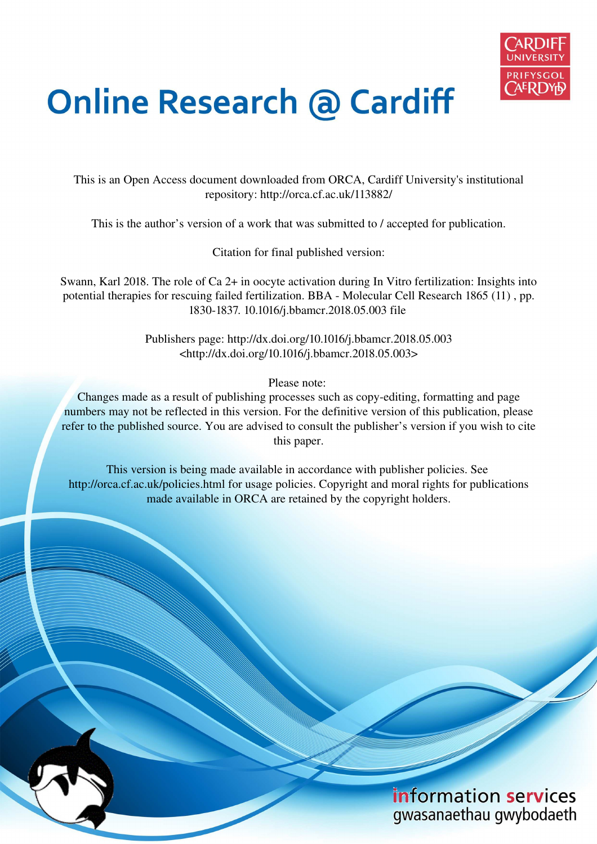

# **Online Research @ Cardiff**

This is an Open Access document downloaded from ORCA, Cardiff University's institutional repository: http://orca.cf.ac.uk/113882/

This is the author's version of a work that was submitted to / accepted for publication.

Citation for final published version:

Swann, Karl 2018. The role of Ca 2+ in oocyte activation during In Vitro fertilization: Insights into potential therapies for rescuing failed fertilization. BBA - Molecular Cell Research 1865 (11) , pp. 1830-1837. 10.1016/j.bbamcr.2018.05.003 file

> Publishers page: http://dx.doi.org/10.1016/j.bbamcr.2018.05.003 <http://dx.doi.org/10.1016/j.bbamcr.2018.05.003>

> > Please note:

Changes made as a result of publishing processes such as copy-editing, formatting and page numbers may not be reflected in this version. For the definitive version of this publication, please refer to the published source. You are advised to consult the publisher's version if you wish to cite this paper.

This version is being made available in accordance with publisher policies. See http://orca.cf.ac.uk/policies.html for usage policies. Copyright and moral rights for publications made available in ORCA are retained by the copyright holders.

### information services gwasanaethau gwybodaeth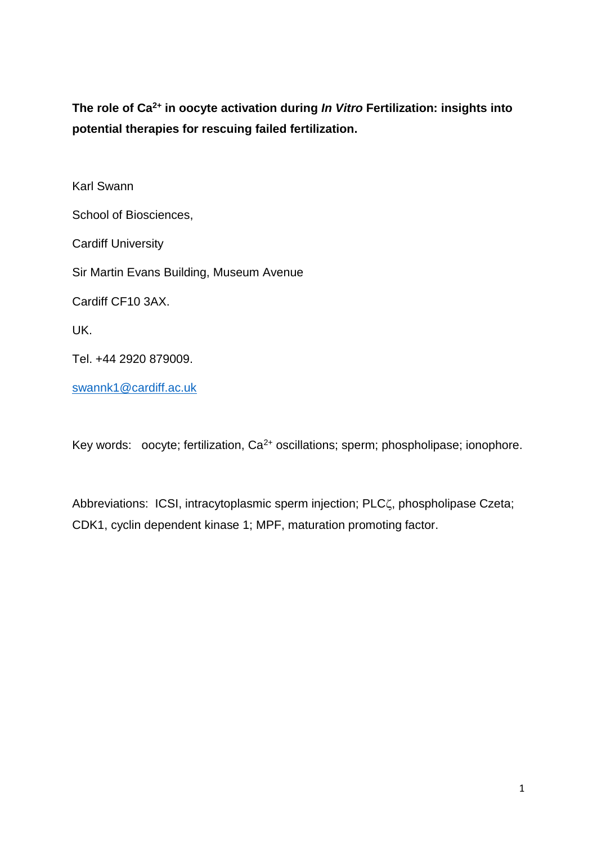**The role of Ca2+ in oocyte activation during In Vitro Fertilization: insights into potential therapies for rescuing failed fertilization.** 

Karl Swann School of Biosciences, Cardiff University Sir Martin Evans Building, Museum Avenue Cardiff CF10 3AX. UK. Tel. +44 2920 879009. [swannk1@cardiff.ac.uk](mailto:swannk1@cardiff.ac.uk) 

Key words: oocyte; fertilization,  $Ca^{2+}$  oscillations; sperm; phospholipase; ionophore.

Abbreviations: ICSI, intracytoplasmic sperm injection; PLCζ, phospholipase Czeta; CDK1, cyclin dependent kinase 1; MPF, maturation promoting factor.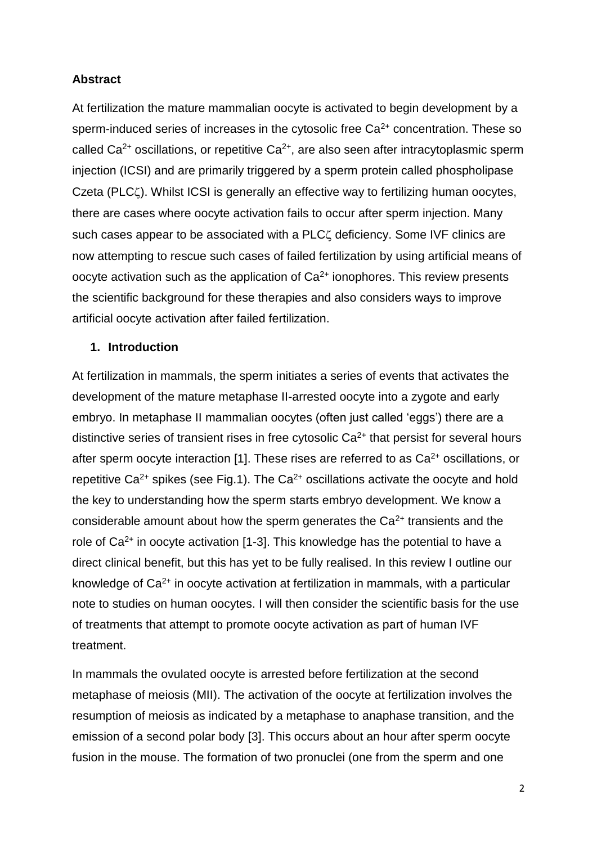#### **Abstract**

At fertilization the mature mammalian oocyte is activated to begin development by a sperm-induced series of increases in the cytosolic free  $Ca<sup>2+</sup>$  concentration. These so called  $Ca^{2+}$  oscillations, or repetitive  $Ca^{2+}$ , are also seen after intracytoplasmic sperm injection (ICSI) and are primarily triggered by a sperm protein called phospholipase Czeta (PLC<sub>C</sub>). Whilst ICSI is generally an effective way to fertilizing human oocytes, there are cases where oocyte activation fails to occur after sperm injection. Many such cases appear to be associated with a PLC<sub>4</sub> deficiency. Some IVF clinics are now attempting to rescue such cases of failed fertilization by using artificial means of oocyte activation such as the application of  $Ca<sup>2+</sup>$  ionophores. This review presents the scientific background for these therapies and also considers ways to improve artificial oocyte activation after failed fertilization.

#### **1. Introduction**

At fertilization in mammals, the sperm initiates a series of events that activates the development of the mature metaphase II-arrested oocyte into a zygote and early embryo. In metaphase II mammalian oocytes (often just called 'eggs') there are a distinctive series of transient rises in free cytosolic  $Ca<sup>2+</sup>$  that persist for several hours after sperm oocyte interaction [1]. These rises are referred to as  $Ca<sup>2+</sup>$  oscillations, or repetitive Ca<sup>2+</sup> spikes (see Fig.1). The Ca<sup>2+</sup> oscillations activate the oocyte and hold the key to understanding how the sperm starts embryo development. We know a considerable amount about how the sperm generates the  $Ca<sup>2+</sup>$  transients and the role of  $Ca^{2+}$  in oocyte activation [1-3]. This knowledge has the potential to have a direct clinical benefit, but this has yet to be fully realised. In this review I outline our knowledge of Ca2+ in oocyte activation at fertilization in mammals, with a particular note to studies on human oocytes. I will then consider the scientific basis for the use of treatments that attempt to promote oocyte activation as part of human IVF treatment.

In mammals the ovulated oocyte is arrested before fertilization at the second metaphase of meiosis (MII). The activation of the oocyte at fertilization involves the resumption of meiosis as indicated by a metaphase to anaphase transition, and the emission of a second polar body [3]. This occurs about an hour after sperm oocyte fusion in the mouse. The formation of two pronuclei (one from the sperm and one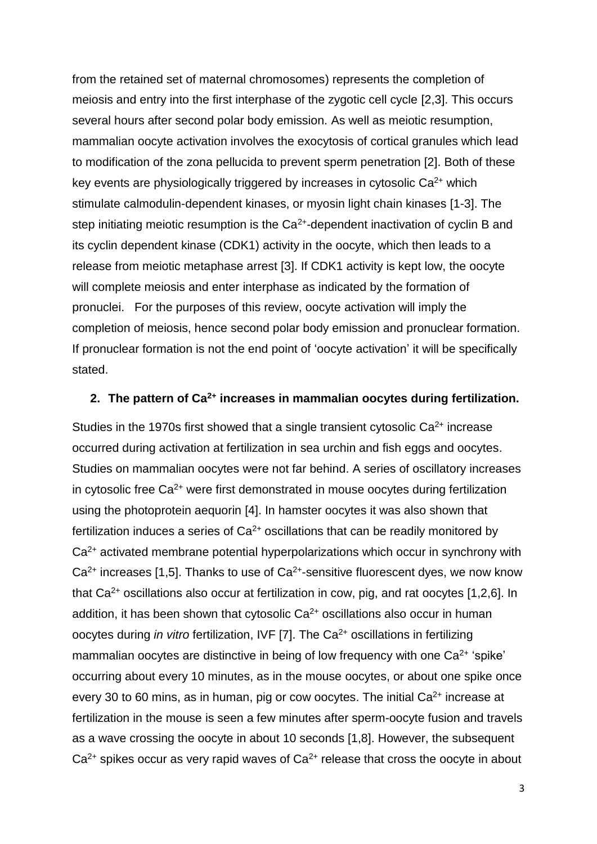from the retained set of maternal chromosomes) represents the completion of meiosis and entry into the first interphase of the zygotic cell cycle [2,3]. This occurs several hours after second polar body emission. As well as meiotic resumption, mammalian oocyte activation involves the exocytosis of cortical granules which lead to modification of the zona pellucida to prevent sperm penetration [2]. Both of these key events are physiologically triggered by increases in cytosolic  $Ca<sup>2+</sup>$  which stimulate calmodulin-dependent kinases, or myosin light chain kinases [1-3]. The step initiating meiotic resumption is the Ca<sup>2+</sup>-dependent inactivation of cyclin B and its cyclin dependent kinase (CDK1) activity in the oocyte, which then leads to a release from meiotic metaphase arrest [3]. If CDK1 activity is kept low, the oocyte will complete meiosis and enter interphase as indicated by the formation of pronuclei. For the purposes of this review, oocyte activation will imply the completion of meiosis, hence second polar body emission and pronuclear formation. If pronuclear formation is not the end point of 'oocyte activation' it will be specifically stated.

#### **2. The pattern of Ca2+ increases in mammalian oocytes during fertilization.**

Studies in the 1970s first showed that a single transient cytosolic  $Ca<sup>2+</sup>$  increase occurred during activation at fertilization in sea urchin and fish eggs and oocytes. Studies on mammalian oocytes were not far behind. A series of oscillatory increases in cytosolic free  $Ca<sup>2+</sup>$  were first demonstrated in mouse oocytes during fertilization using the photoprotein aequorin [4]. In hamster oocytes it was also shown that fertilization induces a series of  $Ca<sup>2+</sup>$  oscillations that can be readily monitored by Ca<sup>2+</sup> activated membrane potential hyperpolarizations which occur in synchrony with  $Ca<sup>2+</sup>$  increases [1,5]. Thanks to use of  $Ca<sup>2+</sup>$ -sensitive fluorescent dyes, we now know that  $Ca^{2+}$  oscillations also occur at fertilization in cow, pig, and rat oocytes [1,2,6]. In addition, it has been shown that cytosolic  $Ca<sup>2+</sup>$  oscillations also occur in human oocytes during *in vitro* fertilization, IVF [7]. The  $Ca<sup>2+</sup>$  oscillations in fertilizing mammalian oocytes are distinctive in being of low frequency with one  $Ca<sup>2+</sup>$  'spike' occurring about every 10 minutes, as in the mouse oocytes, or about one spike once every 30 to 60 mins, as in human, pig or cow oocytes. The initial  $Ca<sup>2+</sup>$  increase at fertilization in the mouse is seen a few minutes after sperm-oocyte fusion and travels as a wave crossing the oocyte in about 10 seconds [1,8]. However, the subsequent  $Ca<sup>2+</sup>$  spikes occur as very rapid waves of  $Ca<sup>2+</sup>$  release that cross the oocyte in about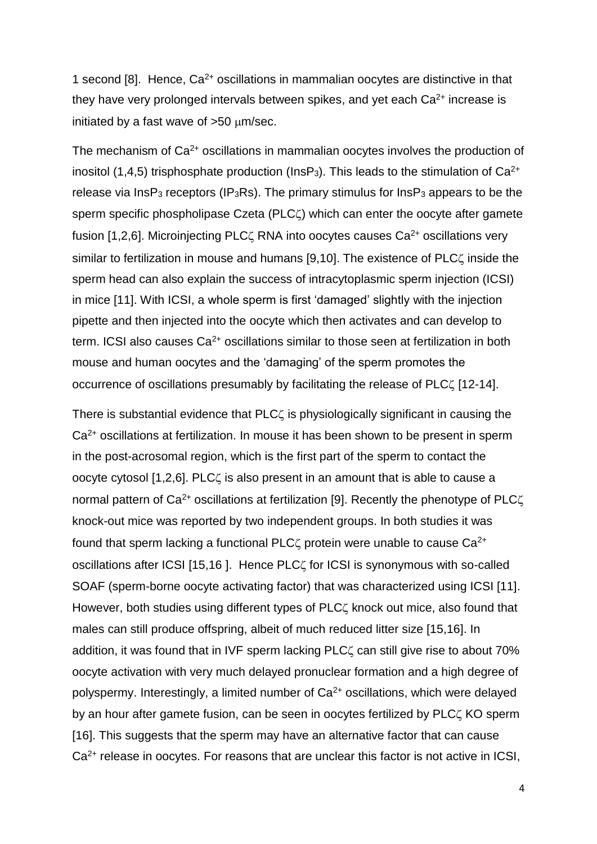1 second [8]. Hence,  $Ca^{2+}$  oscillations in mammalian oocytes are distinctive in that they have very prolonged intervals between spikes, and yet each  $Ca<sup>2+</sup>$  increase is initiated by a fast wave of  $>50 \mu m/sec$ .

The mechanism of Ca<sup>2+</sup> oscillations in mammalian oocytes involves the production of inositol (1,4,5) trisphosphate production ( $InSP<sub>3</sub>$ ). This leads to the stimulation of Ca<sup>2+</sup> release via  $InSP<sub>3</sub>$  receptors (IP<sub>3</sub>Rs). The primary stimulus for  $InSP<sub>3</sub>$  appears to be the sperm specific phospholipase Czeta (PLC $\zeta$ ) which can enter the oocyte after gamete fusion [1,2,6]. Microinjecting PLC $\zeta$  RNA into oocytes causes Ca<sup>2+</sup> oscillations very similar to fertilization in mouse and humans [9,10]. The existence of PLC $\zeta$  inside the sperm head can also explain the success of intracytoplasmic sperm injection (ICSI) in mice [11]. With ICSI, a whole sperm is first 'damaged' slightly with the injection pipette and then injected into the oocyte which then activates and can develop to term. ICSI also causes  $Ca<sup>2+</sup>$  oscillations similar to those seen at fertilization in both mouse and human oocytes and the 'damaging' of the sperm promotes the occurrence of oscillations presumably by facilitating the release of PLC $\zeta$  [12-14].

There is substantial evidence that  $PLC\zeta$  is physiologically significant in causing the Ca<sup>2+</sup> oscillations at fertilization. In mouse it has been shown to be present in sperm in the post-acrosomal region, which is the first part of the sperm to contact the oocyte cytosol  $[1,2,6]$ . PLC $\zeta$  is also present in an amount that is able to cause a normal pattern of  $Ca^{2+}$  oscillations at fertilization [9]. Recently the phenotype of PLC $\zeta$ knock-out mice was reported by two independent groups. In both studies it was found that sperm lacking a functional PLC $\zeta$  protein were unable to cause Ca<sup>2+</sup> oscillations after ICSI [15,16]. Hence PLC<sup>'</sup> for ICSI is synonymous with so-called SOAF (sperm-borne oocyte activating factor) that was characterized using ICSI [11]. However, both studies using different types of PLC<sub>4</sub> knock out mice, also found that males can still produce offspring, albeit of much reduced litter size [15,16]. In addition, it was found that in IVF sperm lacking  $PLC\zeta$  can still give rise to about 70% oocyte activation with very much delayed pronuclear formation and a high degree of polyspermy. Interestingly, a limited number of Ca2+ oscillations, which were delayed by an hour after gamete fusion, can be seen in oocytes fertilized by PLC $\zeta$  KO sperm [16]. This suggests that the sperm may have an alternative factor that can cause Ca2+ release in oocytes. For reasons that are unclear this factor is not active in ICSI,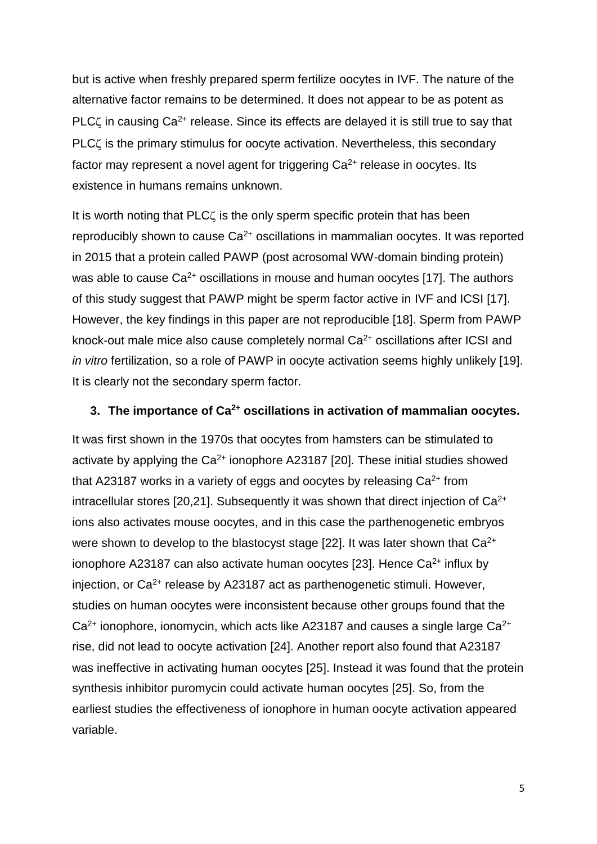but is active when freshly prepared sperm fertilize oocytes in IVF. The nature of the alternative factor remains to be determined. It does not appear to be as potent as PLC $\zeta$  in causing Ca<sup>2+</sup> release. Since its effects are delayed it is still true to say that  $PLC\zeta$  is the primary stimulus for oocyte activation. Nevertheless, this secondary factor may represent a novel agent for triggering  $Ca<sup>2+</sup>$  release in oocytes. Its existence in humans remains unknown.

It is worth noting that PLC<sub> $\zeta$ </sub> is the only sperm specific protein that has been reproducibly shown to cause  $Ca^{2+}$  oscillations in mammalian oocytes. It was reported in 2015 that a protein called PAWP (post acrosomal WW-domain binding protein) was able to cause  $Ca^{2+}$  oscillations in mouse and human oocytes [17]. The authors of this study suggest that PAWP might be sperm factor active in IVF and ICSI [17]. However, the key findings in this paper are not reproducible [18]. Sperm from PAWP knock-out male mice also cause completely normal  $Ca<sup>2+</sup>$  oscillations after ICSI and in vitro fertilization, so a role of PAWP in oocyte activation seems highly unlikely [19]. It is clearly not the secondary sperm factor.

#### **3. The importance of Ca2+ oscillations in activation of mammalian oocytes.**

It was first shown in the 1970s that oocytes from hamsters can be stimulated to activate by applying the  $Ca^{2+}$  ionophore A23187 [20]. These initial studies showed that A23187 works in a variety of eggs and oocytes by releasing  $Ca<sup>2+</sup>$  from intracellular stores  $[20,21]$ . Subsequently it was shown that direct injection of  $Ca^{2+}$ ions also activates mouse oocytes, and in this case the parthenogenetic embryos were shown to develop to the blastocyst stage [22]. It was later shown that Ca<sup>2+</sup> ionophore A23187 can also activate human oocytes [23]. Hence  $Ca^{2+}$  influx by injection, or  $Ca^{2+}$  release by A23187 act as parthenogenetic stimuli. However, studies on human oocytes were inconsistent because other groups found that the  $Ca<sup>2+</sup>$  ionophore, ionomycin, which acts like A23187 and causes a single large  $Ca<sup>2+</sup>$ rise, did not lead to oocyte activation [24]. Another report also found that A23187 was ineffective in activating human oocytes [25]. Instead it was found that the protein synthesis inhibitor puromycin could activate human oocytes [25]. So, from the earliest studies the effectiveness of ionophore in human oocyte activation appeared variable.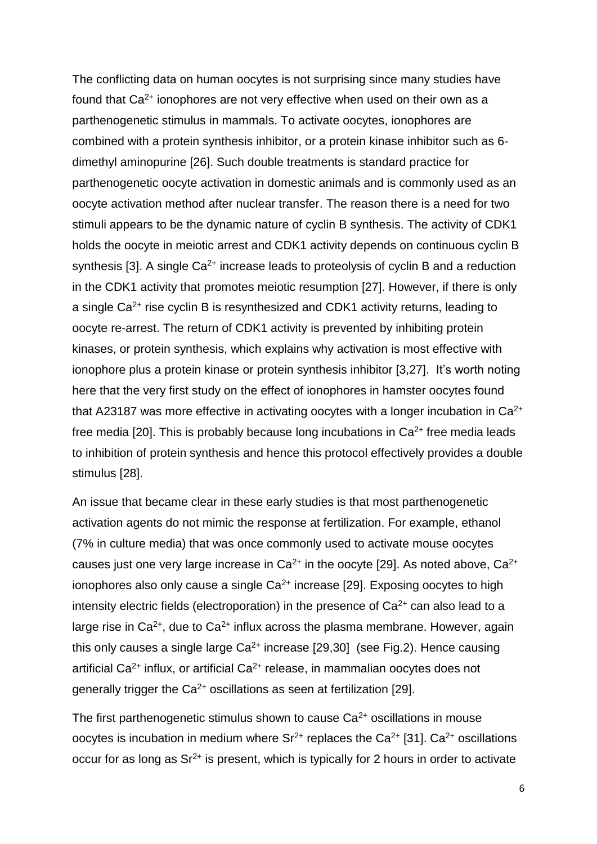The conflicting data on human oocytes is not surprising since many studies have found that Ca<sup>2+</sup> ionophores are not very effective when used on their own as a parthenogenetic stimulus in mammals. To activate oocytes, ionophores are combined with a protein synthesis inhibitor, or a protein kinase inhibitor such as 6 dimethyl aminopurine [26]. Such double treatments is standard practice for parthenogenetic oocyte activation in domestic animals and is commonly used as an oocyte activation method after nuclear transfer. The reason there is a need for two stimuli appears to be the dynamic nature of cyclin B synthesis. The activity of CDK1 holds the oocyte in meiotic arrest and CDK1 activity depends on continuous cyclin B synthesis [3]. A single  $Ca^{2+}$  increase leads to proteolysis of cyclin B and a reduction in the CDK1 activity that promotes meiotic resumption [27]. However, if there is only a single Ca2+ rise cyclin B is resynthesized and CDK1 activity returns, leading to oocyte re-arrest. The return of CDK1 activity is prevented by inhibiting protein kinases, or protein synthesis, which explains why activation is most effective with ionophore plus a protein kinase or protein synthesis inhibitor [3,27]. It's worth noting here that the very first study on the effect of ionophores in hamster oocytes found that A23187 was more effective in activating oocytes with a longer incubation in  $Ca<sup>2+</sup>$ free media [20]. This is probably because long incubations in  $Ca<sup>2+</sup>$  free media leads to inhibition of protein synthesis and hence this protocol effectively provides a double stimulus [28].

An issue that became clear in these early studies is that most parthenogenetic activation agents do not mimic the response at fertilization. For example, ethanol (7% in culture media) that was once commonly used to activate mouse oocytes causes just one very large increase in  $Ca^{2+}$  in the oocyte [29]. As noted above,  $Ca^{2+}$ ionophores also only cause a single  $Ca^{2+}$  increase [29]. Exposing oocytes to high intensity electric fields (electroporation) in the presence of  $Ca<sup>2+</sup>$  can also lead to a large rise in  $Ca^{2+}$ , due to  $Ca^{2+}$  influx across the plasma membrane. However, again this only causes a single large  $Ca^{2+}$  increase [29,30] (see Fig.2). Hence causing artificial Ca<sup>2+</sup> influx, or artificial Ca<sup>2+</sup> release, in mammalian oocytes does not generally trigger the  $Ca^{2+}$  oscillations as seen at fertilization [29].

The first parthenogenetic stimulus shown to cause  $Ca<sup>2+</sup>$  oscillations in mouse oocytes is incubation in medium where  $Sr^{2+}$  replaces the Ca<sup>2+</sup> [31]. Ca<sup>2+</sup> oscillations occur for as long as  $Sr^{2+}$  is present, which is typically for 2 hours in order to activate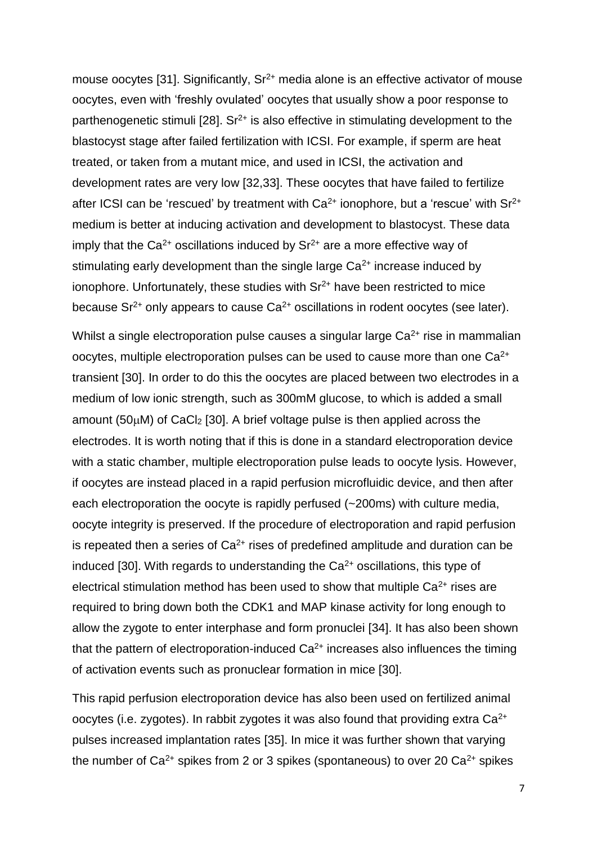mouse oocytes [31]. Significantly,  $Sr^{2+}$  media alone is an effective activator of mouse oocytes, even with 'freshly ovulated' oocytes that usually show a poor response to parthenogenetic stimuli [28].  $Sr^{2+}$  is also effective in stimulating development to the blastocyst stage after failed fertilization with ICSI. For example, if sperm are heat treated, or taken from a mutant mice, and used in ICSI, the activation and development rates are very low [32,33]. These oocytes that have failed to fertilize after ICSI can be 'rescued' by treatment with  $Ca<sup>2+</sup>$  ionophore, but a 'rescue' with  $Sr<sup>2+</sup>$ medium is better at inducing activation and development to blastocyst. These data imply that the  $Ca^{2+}$  oscillations induced by  $Sr^{2+}$  are a more effective way of stimulating early development than the single large  $Ca<sup>2+</sup>$  increase induced by ionophore. Unfortunately, these studies with  $Sr<sup>2+</sup>$  have been restricted to mice because  $Sr^{2+}$  only appears to cause  $Ca^{2+}$  oscillations in rodent oocytes (see later).

Whilst a single electroporation pulse causes a singular large  $Ca<sup>2+</sup>$  rise in mammalian oocytes, multiple electroporation pulses can be used to cause more than one Ca2+ transient [30]. In order to do this the oocytes are placed between two electrodes in a medium of low ionic strength, such as 300mM glucose, to which is added a small amount ( $50\mu$ M) of CaCl<sub>2</sub> [30]. A brief voltage pulse is then applied across the electrodes. It is worth noting that if this is done in a standard electroporation device with a static chamber, multiple electroporation pulse leads to oocyte lysis. However, if oocytes are instead placed in a rapid perfusion microfluidic device, and then after each electroporation the oocyte is rapidly perfused (~200ms) with culture media, oocyte integrity is preserved. If the procedure of electroporation and rapid perfusion is repeated then a series of  $Ca<sup>2+</sup>$  rises of predefined amplitude and duration can be induced [30]. With regards to understanding the  $Ca<sup>2+</sup>$  oscillations, this type of electrical stimulation method has been used to show that multiple  $Ca<sup>2+</sup>$  rises are required to bring down both the CDK1 and MAP kinase activity for long enough to allow the zygote to enter interphase and form pronuclei [34]. It has also been shown that the pattern of electroporation-induced  $Ca<sup>2+</sup>$  increases also influences the timing of activation events such as pronuclear formation in mice [30].

This rapid perfusion electroporation device has also been used on fertilized animal oocytes (i.e. zygotes). In rabbit zygotes it was also found that providing extra  $Ca^{2+}$ pulses increased implantation rates [35]. In mice it was further shown that varying the number of  $Ca^{2+}$  spikes from 2 or 3 spikes (spontaneous) to over 20  $Ca^{2+}$  spikes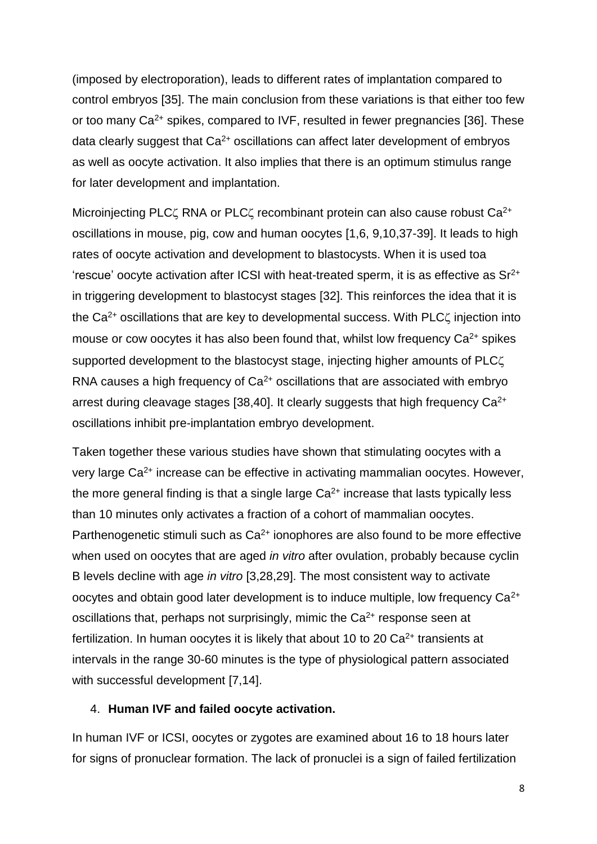(imposed by electroporation), leads to different rates of implantation compared to control embryos [35]. The main conclusion from these variations is that either too few or too many Ca<sup>2+</sup> spikes, compared to IVF, resulted in fewer pregnancies [36]. These data clearly suggest that Ca<sup>2+</sup> oscillations can affect later development of embryos as well as oocyte activation. It also implies that there is an optimum stimulus range for later development and implantation.

Microinjecting PLC $\zeta$  RNA or PLC $\zeta$  recombinant protein can also cause robust Ca<sup>2+</sup> oscillations in mouse, pig, cow and human oocytes [1,6, 9,10,37-39]. It leads to high rates of oocyte activation and development to blastocysts. When it is used toa 'rescue' oocyte activation after ICSI with heat-treated sperm, it is as effective as  $Sr^{2+}$ in triggering development to blastocyst stages [32]. This reinforces the idea that it is the  $Ca<sup>2+</sup>$  oscillations that are key to developmental success. With PLC $\zeta$  injection into mouse or cow oocytes it has also been found that, whilst low frequency  $Ca^{2+}$  spikes supported development to the blastocyst stage, injecting higher amounts of PLC RNA causes a high frequency of  $Ca<sup>2+</sup>$  oscillations that are associated with embryo arrest during cleavage stages [38,40]. It clearly suggests that high frequency  $Ca^{2+}$ oscillations inhibit pre-implantation embryo development.

Taken together these various studies have shown that stimulating oocytes with a very large Ca2+ increase can be effective in activating mammalian oocytes. However, the more general finding is that a single large  $Ca<sup>2+</sup>$  increase that lasts typically less than 10 minutes only activates a fraction of a cohort of mammalian oocytes. Parthenogenetic stimuli such as  $Ca<sup>2+</sup>$  ionophores are also found to be more effective when used on oocytes that are aged *in vitro* after ovulation, probably because cyclin B levels decline with age in vitro [3,28,29]. The most consistent way to activate oocytes and obtain good later development is to induce multiple, low frequency  $Ca^{2+}$ oscillations that, perhaps not surprisingly, mimic the  $Ca<sup>2+</sup>$  response seen at fertilization. In human oocytes it is likely that about 10 to 20  $Ca<sup>2+</sup>$  transients at intervals in the range 30-60 minutes is the type of physiological pattern associated with successful development [7,14].

#### 4. **Human IVF and failed oocyte activation.**

In human IVF or ICSI, oocytes or zygotes are examined about 16 to 18 hours later for signs of pronuclear formation. The lack of pronuclei is a sign of failed fertilization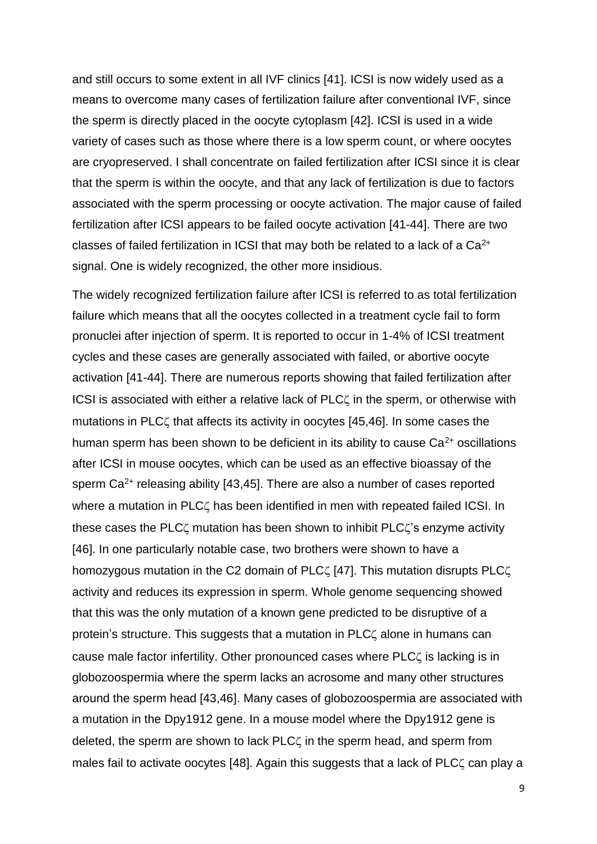and still occurs to some extent in all IVF clinics [41]. ICSI is now widely used as a means to overcome many cases of fertilization failure after conventional IVF, since the sperm is directly placed in the oocyte cytoplasm [42]. ICSI is used in a wide variety of cases such as those where there is a low sperm count, or where oocytes are cryopreserved. I shall concentrate on failed fertilization after ICSI since it is clear that the sperm is within the oocyte, and that any lack of fertilization is due to factors associated with the sperm processing or oocyte activation. The major cause of failed fertilization after ICSI appears to be failed oocyte activation [41-44]. There are two classes of failed fertilization in ICSI that may both be related to a lack of a  $Ca<sup>2+</sup>$ signal. One is widely recognized, the other more insidious.

The widely recognized fertilization failure after ICSI is referred to as total fertilization failure which means that all the oocytes collected in a treatment cycle fail to form pronuclei after injection of sperm. It is reported to occur in 1-4% of ICSI treatment cycles and these cases are generally associated with failed, or abortive oocyte activation [41-44]. There are numerous reports showing that failed fertilization after ICSI is associated with either a relative lack of PLC in the sperm, or otherwise with mutations in PLC $\zeta$  that affects its activity in oocytes [45,46]. In some cases the human sperm has been shown to be deficient in its ability to cause  $Ca<sup>2+</sup>$  oscillations after ICSI in mouse oocytes, which can be used as an effective bioassay of the sperm  $Ca^{2+}$  releasing ability [43,45]. There are also a number of cases reported where a mutation in PLC $\zeta$  has been identified in men with repeated failed ICSI. In these cases the PLC $\zeta$  mutation has been shown to inhibit PLC $\zeta$ 's enzyme activity [46]. In one particularly notable case, two brothers were shown to have a homozygous mutation in the C2 domain of PLC $\zeta$  [47]. This mutation disrupts PLC $\zeta$ activity and reduces its expression in sperm. Whole genome sequencing showed that this was the only mutation of a known gene predicted to be disruptive of a protein's structure. This suggests that a mutation in PLC<sub>4</sub> alone in humans can cause male factor infertility. Other pronounced cases where PLC $\zeta$  is lacking is in globozoospermia where the sperm lacks an acrosome and many other structures around the sperm head [43,46]. Many cases of globozoospermia are associated with a mutation in the Dpy1912 gene. In a mouse model where the Dpy1912 gene is deleted, the sperm are shown to lack PLC<sub>4</sub> in the sperm head, and sperm from males fail to activate oocytes [48]. Again this suggests that a lack of PLC $\zeta$  can play a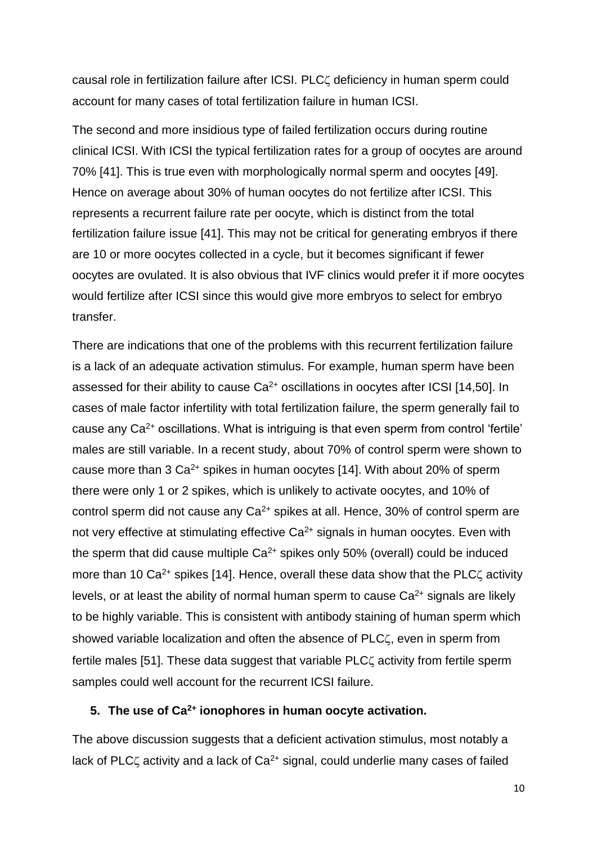causal role in fertilization failure after ICSI. PLC deficiency in human sperm could account for many cases of total fertilization failure in human ICSI.

The second and more insidious type of failed fertilization occurs during routine clinical ICSI. With ICSI the typical fertilization rates for a group of oocytes are around 70% [41]. This is true even with morphologically normal sperm and oocytes [49]. Hence on average about 30% of human oocytes do not fertilize after ICSI. This represents a recurrent failure rate per oocyte, which is distinct from the total fertilization failure issue [41]. This may not be critical for generating embryos if there are 10 or more oocytes collected in a cycle, but it becomes significant if fewer oocytes are ovulated. It is also obvious that IVF clinics would prefer it if more oocytes would fertilize after ICSI since this would give more embryos to select for embryo transfer.

There are indications that one of the problems with this recurrent fertilization failure is a lack of an adequate activation stimulus. For example, human sperm have been assessed for their ability to cause  $Ca^{2+}$  oscillations in oocytes after ICSI [14,50]. In cases of male factor infertility with total fertilization failure, the sperm generally fail to cause any  $Ca<sup>2+</sup>$  oscillations. What is intriguing is that even sperm from control 'fertile' males are still variable. In a recent study, about 70% of control sperm were shown to cause more than  $3 \text{ Ca}^{2+}$  spikes in human oocytes [14]. With about 20% of sperm there were only 1 or 2 spikes, which is unlikely to activate oocytes, and 10% of control sperm did not cause any  $Ca^{2+}$  spikes at all. Hence, 30% of control sperm are not very effective at stimulating effective  $Ca<sup>2+</sup>$  signals in human oocytes. Even with the sperm that did cause multiple  $Ca^{2+}$  spikes only 50% (overall) could be induced more than 10 Ca<sup>2+</sup> spikes [14]. Hence, overall these data show that the PLC $\zeta$  activity levels, or at least the ability of normal human sperm to cause Ca<sup>2+</sup> signals are likely to be highly variable. This is consistent with antibody staining of human sperm which showed variable localization and often the absence of PLC<sub>4</sub>, even in sperm from fertile males [51]. These data suggest that variable PLC<sub> $\zeta$ </sub> activity from fertile sperm samples could well account for the recurrent ICSI failure.

#### **5. The use of Ca2+ ionophores in human oocyte activation.**

The above discussion suggests that a deficient activation stimulus, most notably a lack of PLC $\zeta$  activity and a lack of Ca<sup>2+</sup> signal, could underlie many cases of failed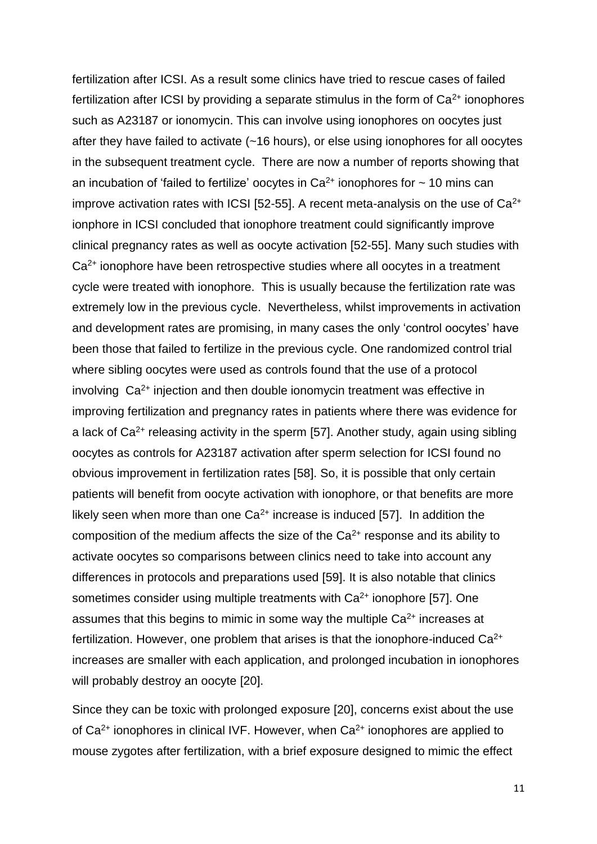fertilization after ICSI. As a result some clinics have tried to rescue cases of failed fertilization after ICSI by providing a separate stimulus in the form of  $Ca<sup>2+</sup>$  ionophores such as A23187 or ionomycin. This can involve using ionophores on oocytes just after they have failed to activate (~16 hours), or else using ionophores for all oocytes in the subsequent treatment cycle. There are now a number of reports showing that an incubation of 'failed to fertilize' oocytes in  $Ca^{2+}$  ionophores for  $\sim$  10 mins can improve activation rates with ICSI [52-55]. A recent meta-analysis on the use of  $Ca<sup>2+</sup>$ ionphore in ICSI concluded that ionophore treatment could significantly improve clinical pregnancy rates as well as oocyte activation [52-55]. Many such studies with Ca<sup>2+</sup> ionophore have been retrospective studies where all oocytes in a treatment cycle were treated with ionophore. This is usually because the fertilization rate was extremely low in the previous cycle. Nevertheless, whilst improvements in activation and development rates are promising, in many cases the only 'control oocytes' have been those that failed to fertilize in the previous cycle. One randomized control trial where sibling oocytes were used as controls found that the use of a protocol involving  $Ca<sup>2+</sup>$  injection and then double ionomycin treatment was effective in improving fertilization and pregnancy rates in patients where there was evidence for a lack of  $Ca<sup>2+</sup>$  releasing activity in the sperm [57]. Another study, again using sibling oocytes as controls for A23187 activation after sperm selection for ICSI found no obvious improvement in fertilization rates [58]. So, it is possible that only certain patients will benefit from oocyte activation with ionophore, or that benefits are more likely seen when more than one  $Ca^{2+}$  increase is induced [57]. In addition the composition of the medium affects the size of the  $Ca<sup>2+</sup>$  response and its ability to activate oocytes so comparisons between clinics need to take into account any differences in protocols and preparations used [59]. It is also notable that clinics sometimes consider using multiple treatments with Ca<sup>2+</sup> ionophore [57]. One assumes that this begins to mimic in some way the multiple  $Ca<sup>2+</sup>$  increases at fertilization. However, one problem that arises is that the ionophore-induced  $Ca<sup>2+</sup>$ increases are smaller with each application, and prolonged incubation in ionophores will probably destroy an oocyte [20].

Since they can be toxic with prolonged exposure [20], concerns exist about the use of  $Ca<sup>2+</sup>$  ionophores in clinical IVF. However, when  $Ca<sup>2+</sup>$  ionophores are applied to mouse zygotes after fertilization, with a brief exposure designed to mimic the effect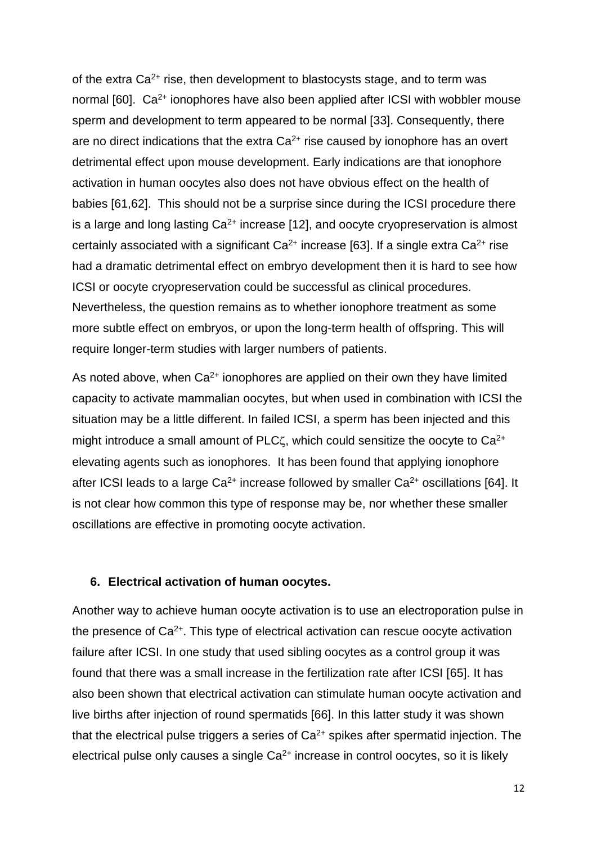of the extra  $Ca^{2+}$  rise, then development to blastocysts stage, and to term was normal  $[60]$ . Ca<sup>2+</sup> ionophores have also been applied after ICSI with wobbler mouse sperm and development to term appeared to be normal [33]. Consequently, there are no direct indications that the extra  $Ca<sup>2+</sup>$  rise caused by ionophore has an overt detrimental effect upon mouse development. Early indications are that ionophore activation in human oocytes also does not have obvious effect on the health of babies [61,62]. This should not be a surprise since during the ICSI procedure there is a large and long lasting  $Ca<sup>2+</sup>$  increase [12], and oocyte cryopreservation is almost certainly associated with a significant  $Ca^{2+}$  increase [63]. If a single extra  $Ca^{2+}$  rise had a dramatic detrimental effect on embryo development then it is hard to see how ICSI or oocyte cryopreservation could be successful as clinical procedures. Nevertheless, the question remains as to whether ionophore treatment as some more subtle effect on embryos, or upon the long-term health of offspring. This will require longer-term studies with larger numbers of patients.

As noted above, when  $Ca^{2+}$  ionophores are applied on their own they have limited capacity to activate mammalian oocytes, but when used in combination with ICSI the situation may be a little different. In failed ICSI, a sperm has been injected and this might introduce a small amount of PLC $\zeta$ , which could sensitize the oocyte to Ca<sup>2+</sup> elevating agents such as ionophores. It has been found that applying ionophore after ICSI leads to a large  $Ca^{2+}$  increase followed by smaller  $Ca^{2+}$  oscillations [64]. It is not clear how common this type of response may be, nor whether these smaller oscillations are effective in promoting oocyte activation.

#### **6. Electrical activation of human oocytes.**

Another way to achieve human oocyte activation is to use an electroporation pulse in the presence of  $Ca<sup>2+</sup>$ . This type of electrical activation can rescue oocyte activation failure after ICSI. In one study that used sibling oocytes as a control group it was found that there was a small increase in the fertilization rate after ICSI [65]. It has also been shown that electrical activation can stimulate human oocyte activation and live births after injection of round spermatids [66]. In this latter study it was shown that the electrical pulse triggers a series of  $Ca<sup>2+</sup>$  spikes after spermatid injection. The electrical pulse only causes a single  $Ca<sup>2+</sup>$  increase in control oocytes, so it is likely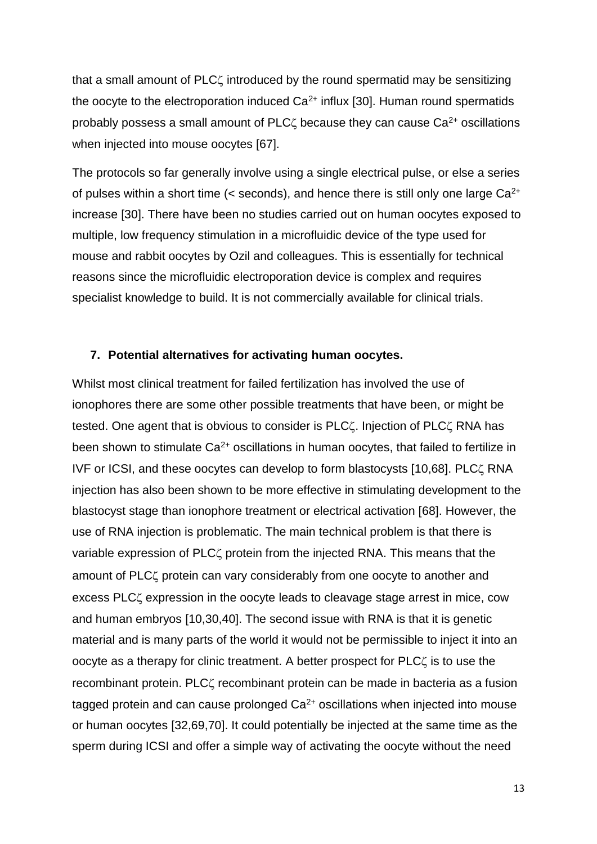that a small amount of PLC<sub>4</sub> introduced by the round spermatid may be sensitizing the oocyte to the electroporation induced  $Ca<sup>2+</sup>$  influx [30]. Human round spermatids probably possess a small amount of PLC $\zeta$  because they can cause Ca<sup>2+</sup> oscillations when injected into mouse oocytes [67].

The protocols so far generally involve using a single electrical pulse, or else a series of pulses within a short time ( $\leq$  seconds), and hence there is still only one large  $Ca^{2+}$ increase [30]. There have been no studies carried out on human oocytes exposed to multiple, low frequency stimulation in a microfluidic device of the type used for mouse and rabbit oocytes by Ozil and colleagues. This is essentially for technical reasons since the microfluidic electroporation device is complex and requires specialist knowledge to build. It is not commercially available for clinical trials.

#### **7. Potential alternatives for activating human oocytes.**

Whilst most clinical treatment for failed fertilization has involved the use of ionophores there are some other possible treatments that have been, or might be tested. One agent that is obvious to consider is PLC. Injection of PLC. RNA has been shown to stimulate  $Ca^{2+}$  oscillations in human oocytes, that failed to fertilize in IVF or ICSI, and these oocytes can develop to form blastocysts [10,68]. PLC. RNA injection has also been shown to be more effective in stimulating development to the blastocyst stage than ionophore treatment or electrical activation [68]. However, the use of RNA injection is problematic. The main technical problem is that there is variable expression of PLC<sub>4</sub> protein from the injected RNA. This means that the amount of PLC<sub>4</sub> protein can vary considerably from one oocyte to another and excess PLC<sub>4</sub> expression in the oocyte leads to cleavage stage arrest in mice, cow and human embryos [10,30,40]. The second issue with RNA is that it is genetic material and is many parts of the world it would not be permissible to inject it into an oocyte as a therapy for clinic treatment. A better prospect for PLC is to use the recombinant protein. PLC<sub>4</sub> recombinant protein can be made in bacteria as a fusion tagged protein and can cause prolonged  $Ca<sup>2+</sup>$  oscillations when injected into mouse or human oocytes [32,69,70]. It could potentially be injected at the same time as the sperm during ICSI and offer a simple way of activating the oocyte without the need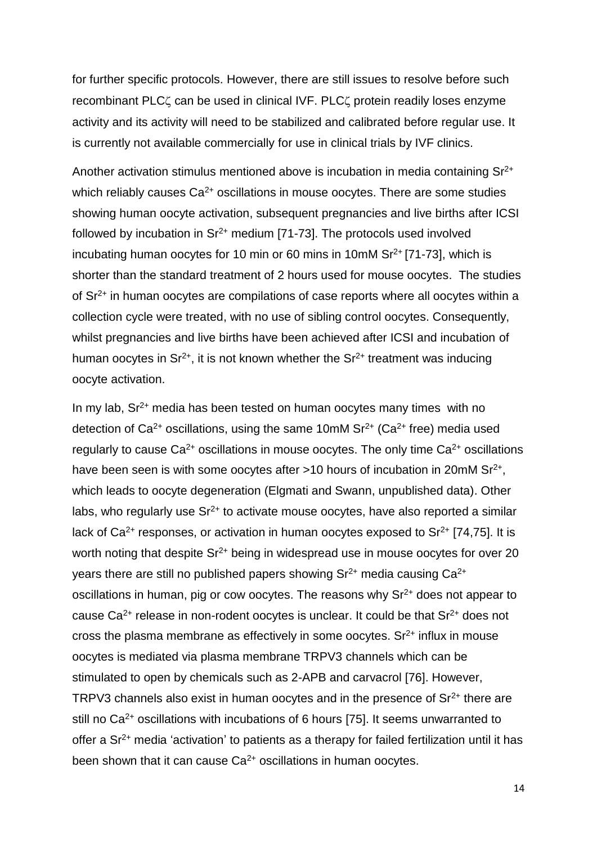for further specific protocols. However, there are still issues to resolve before such recombinant PLC $\zeta$  can be used in clinical IVF. PLC $\zeta$  protein readily loses enzyme activity and its activity will need to be stabilized and calibrated before regular use. It is currently not available commercially for use in clinical trials by IVF clinics.

Another activation stimulus mentioned above is incubation in media containing Sr<sup>2+</sup> which reliably causes  $Ca^{2+}$  oscillations in mouse oocytes. There are some studies showing human oocyte activation, subsequent pregnancies and live births after ICSI followed by incubation in  $\text{Sr}^{2+}$  medium [71-73]. The protocols used involved incubating human oocytes for 10 min or 60 mins in 10mM  $Sr<sup>2+</sup>$  [71-73], which is shorter than the standard treatment of 2 hours used for mouse oocytes. The studies of Sr2+ in human oocytes are compilations of case reports where all oocytes within a collection cycle were treated, with no use of sibling control oocytes. Consequently, whilst pregnancies and live births have been achieved after ICSI and incubation of human oocytes in  $Sr^{2+}$ , it is not known whether the  $Sr^{2+}$  treatment was inducing oocyte activation.

In my lab,  $Sr<sup>2+</sup>$  media has been tested on human oocytes many times with no detection of  $Ca^{2+}$  oscillations, using the same 10mM  $Sr^{2+}$  (Ca<sup>2+</sup> free) media used regularly to cause  $Ca^{2+}$  oscillations in mouse oocytes. The only time  $Ca^{2+}$  oscillations have been seen is with some oocytes after  $>10$  hours of incubation in 20mM Sr<sup>2+</sup>, which leads to oocyte degeneration (Elgmati and Swann, unpublished data). Other labs, who regularly use  $\mathsf{S}r^{2+}$  to activate mouse oocytes, have also reported a similar lack of  $Ca^{2+}$  responses, or activation in human oocytes exposed to  $Sr^{2+}$  [74,75]. It is worth noting that despite  $Sr^{2+}$  being in widespread use in mouse oocytes for over 20 years there are still no published papers showing  $Sr^{2+}$  media causing  $Ca^{2+}$ oscillations in human, pig or cow oocytes. The reasons why  $Sr<sup>2+</sup>$  does not appear to cause  $Ca^{2+}$  release in non-rodent oocytes is unclear. It could be that  $Sr^{2+}$  does not cross the plasma membrane as effectively in some oocytes.  $Sr<sup>2+</sup>$  influx in mouse oocytes is mediated via plasma membrane TRPV3 channels which can be stimulated to open by chemicals such as 2-APB and carvacrol [76]. However, TRPV3 channels also exist in human oocytes and in the presence of  $Sr<sup>2+</sup>$  there are still no  $Ca^{2+}$  oscillations with incubations of 6 hours [75]. It seems unwarranted to offer a Sr2+ media 'activation' to patients as a therapy for failed fertilization until it has been shown that it can cause Ca<sup>2+</sup> oscillations in human oocytes.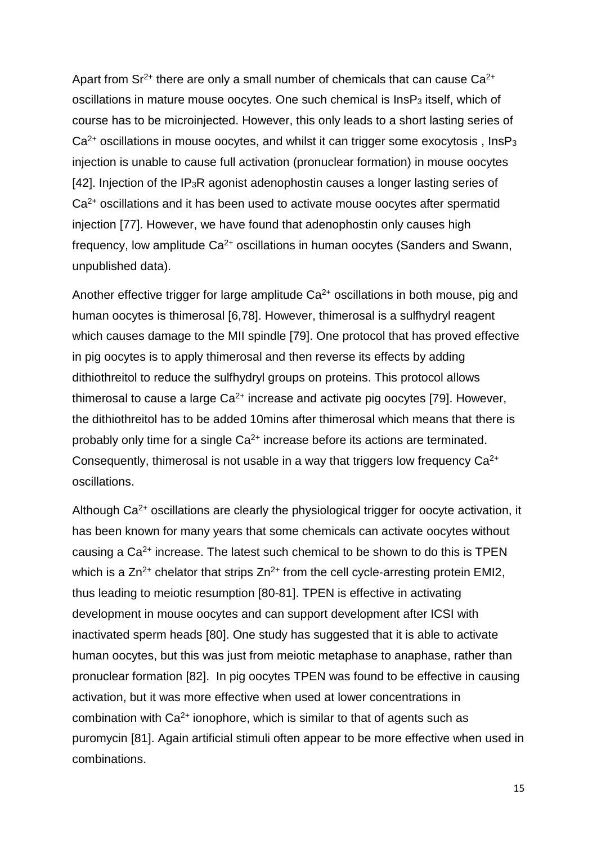Apart from  $Sr^{2+}$  there are only a small number of chemicals that can cause  $Ca^{2+}$ oscillations in mature mouse oocytes. One such chemical is InsP<sub>3</sub> itself, which of course has to be microinjected. However, this only leads to a short lasting series of  $Ca<sup>2+</sup>$  oscillations in mouse oocytes, and whilst it can trigger some exocytosis, InsP<sub>3</sub> injection is unable to cause full activation (pronuclear formation) in mouse oocytes [42]. Injection of the IP3R agonist adenophostin causes a longer lasting series of Ca2+ oscillations and it has been used to activate mouse oocytes after spermatid injection [77]. However, we have found that adenophostin only causes high frequency, low amplitude  $Ca^{2+}$  oscillations in human oocytes (Sanders and Swann, unpublished data).

Another effective trigger for large amplitude  $Ca<sup>2+</sup>$  oscillations in both mouse, pig and human oocytes is thimerosal [6,78]. However, thimerosal is a sulfhydryl reagent which causes damage to the MII spindle [79]. One protocol that has proved effective in pig oocytes is to apply thimerosal and then reverse its effects by adding dithiothreitol to reduce the sulfhydryl groups on proteins. This protocol allows thimerosal to cause a large  $Ca^{2+}$  increase and activate pig oocytes [79]. However, the dithiothreitol has to be added 10mins after thimerosal which means that there is probably only time for a single  $Ca^{2+}$  increase before its actions are terminated. Consequently, thimerosal is not usable in a way that triggers low frequency Ca2+ oscillations.

Although  $Ca<sup>2+</sup>$  oscillations are clearly the physiological trigger for oocyte activation, it has been known for many years that some chemicals can activate oocytes without causing a Ca2+ increase. The latest such chemical to be shown to do this is TPEN which is a  $Zn^{2+}$  chelator that strips  $Zn^{2+}$  from the cell cycle-arresting protein EMI2, thus leading to meiotic resumption [80-81]. TPEN is effective in activating development in mouse oocytes and can support development after ICSI with inactivated sperm heads [80]. One study has suggested that it is able to activate human oocytes, but this was just from meiotic metaphase to anaphase, rather than pronuclear formation [82]. In pig oocytes TPEN was found to be effective in causing activation, but it was more effective when used at lower concentrations in combination with  $Ca<sup>2+</sup>$  ionophore, which is similar to that of agents such as puromycin [81]. Again artificial stimuli often appear to be more effective when used in combinations.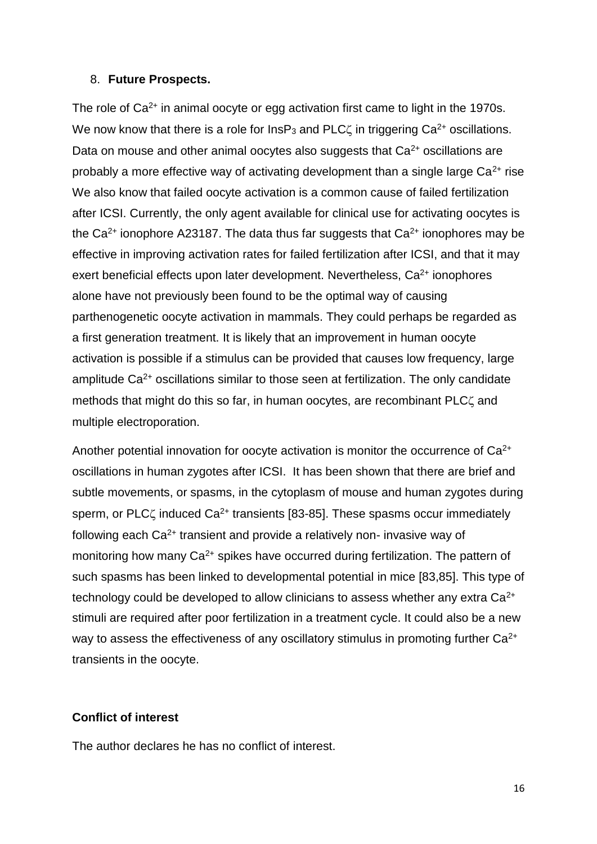#### 8. **Future Prospects.**

The role of  $Ca<sup>2+</sup>$  in animal oocyte or egg activation first came to light in the 1970s. We now know that there is a role for  $InSP<sub>3</sub>$  and PLC $\zeta$  in triggering Ca<sup>2+</sup> oscillations. Data on mouse and other animal oocytes also suggests that  $Ca<sup>2+</sup>$  oscillations are probably a more effective way of activating development than a single large  $Ca^{2+}$  rise We also know that failed oocyte activation is a common cause of failed fertilization after ICSI. Currently, the only agent available for clinical use for activating oocytes is the  $Ca^{2+}$  ionophore A23187. The data thus far suggests that  $Ca^{2+}$  ionophores may be effective in improving activation rates for failed fertilization after ICSI, and that it may exert beneficial effects upon later development. Nevertheless,  $Ca<sup>2+</sup>$  ionophores alone have not previously been found to be the optimal way of causing parthenogenetic oocyte activation in mammals. They could perhaps be regarded as a first generation treatment. It is likely that an improvement in human oocyte activation is possible if a stimulus can be provided that causes low frequency, large amplitude Ca<sup>2+</sup> oscillations similar to those seen at fertilization. The only candidate methods that might do this so far, in human oocytes, are recombinant PLC $\zeta$  and multiple electroporation.

Another potential innovation for oocyte activation is monitor the occurrence of  $Ca<sup>2+</sup>$ oscillations in human zygotes after ICSI. It has been shown that there are brief and subtle movements, or spasms, in the cytoplasm of mouse and human zygotes during sperm, or PLC $\zeta$  induced Ca<sup>2+</sup> transients [83-85]. These spasms occur immediately following each  $Ca^{2+}$  transient and provide a relatively non- invasive way of monitoring how many Ca<sup>2+</sup> spikes have occurred during fertilization. The pattern of such spasms has been linked to developmental potential in mice [83,85]. This type of technology could be developed to allow clinicians to assess whether any extra  $Ca^{2+}$ stimuli are required after poor fertilization in a treatment cycle. It could also be a new way to assess the effectiveness of any oscillatory stimulus in promoting further Ca<sup>2+</sup> transients in the oocyte.

#### **Conflict of interest**

The author declares he has no conflict of interest.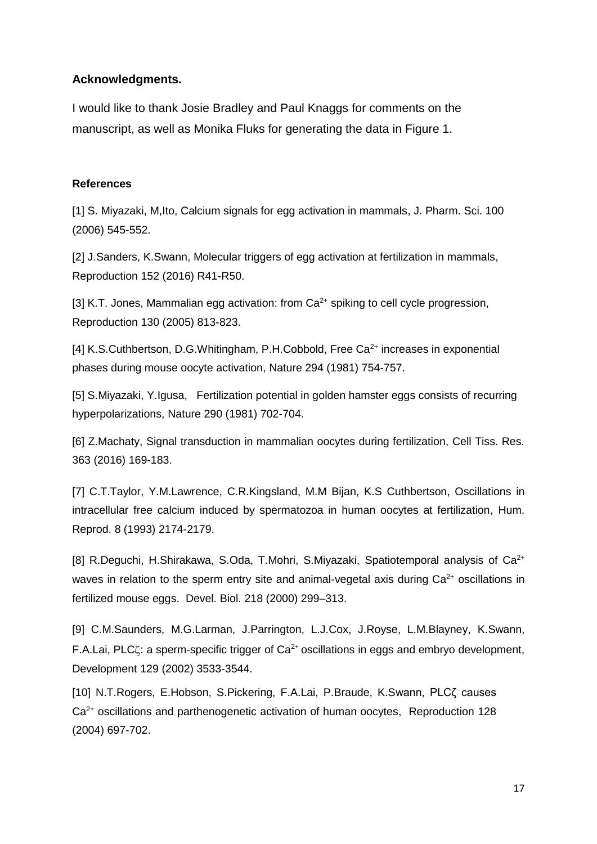#### **Acknowledgments.**

I would like to thank Josie Bradley and Paul Knaggs for comments on the manuscript, as well as Monika Fluks for generating the data in Figure 1.

#### **References**

[1] S. Miyazaki, M,Ito, Calcium signals for egg activation in mammals, J. Pharm. Sci. 100 (2006) 545-552.

[2] J.Sanders, K.Swann, Molecular triggers of egg activation at fertilization in mammals, Reproduction 152 (2016) R41-R50.

[3] K.T. Jones, Mammalian egg activation: from  $Ca^{2+}$  spiking to cell cycle progression, Reproduction 130 (2005) 813-823.

[4] K.S.Cuthbertson, D.G.Whitingham, P.H.Cobbold, Free Ca<sup>2+</sup> increases in exponential phases during mouse oocyte activation, Nature 294 (1981) 754-757.

[5] S.Miyazaki, Y.Igusa, Fertilization potential in golden hamster eggs consists of recurring hyperpolarizations, Nature 290 (1981) 702-704.

[6] Z.Machaty, Signal transduction in mammalian oocytes during fertilization, Cell Tiss. Res. 363 (2016) 169-183.

[7] C.T.Taylor, Y.M.Lawrence, C.R.Kingsland, M.M Bijan, K.S Cuthbertson, Oscillations in intracellular free calcium induced by spermatozoa in human oocytes at fertilization, Hum. Reprod. 8 (1993) 2174-2179.

[8] R.Deguchi, H.Shirakawa, S.Oda, T.Mohri, S.Miyazaki, Spatiotemporal analysis of  $Ca^{2+}$ waves in relation to the sperm entry site and animal-vegetal axis during  $Ca<sup>2+</sup>$  oscillations in fertilized mouse eggs. Devel. Biol. 218 (2000) 299–313.

[9] C.M.Saunders, M.G.Larman, J.Parrington, L.J.Cox, J.Royse, L.M.Blayney, K.Swann, F.A.Lai, PLC $\zeta$ : a sperm-specific trigger of Ca<sup>2+</sup> oscillations in eggs and embryo development, Development 129 (2002) 3533-3544.

[10] N.T.Rogers, E.Hobson, S.Pickering, F.A.Lai, P.Braude, K.Swann, PLCZ causes Ca2+ oscillations and parthenogenetic activation of human oocytes, Reproduction 128 (2004) 697-702.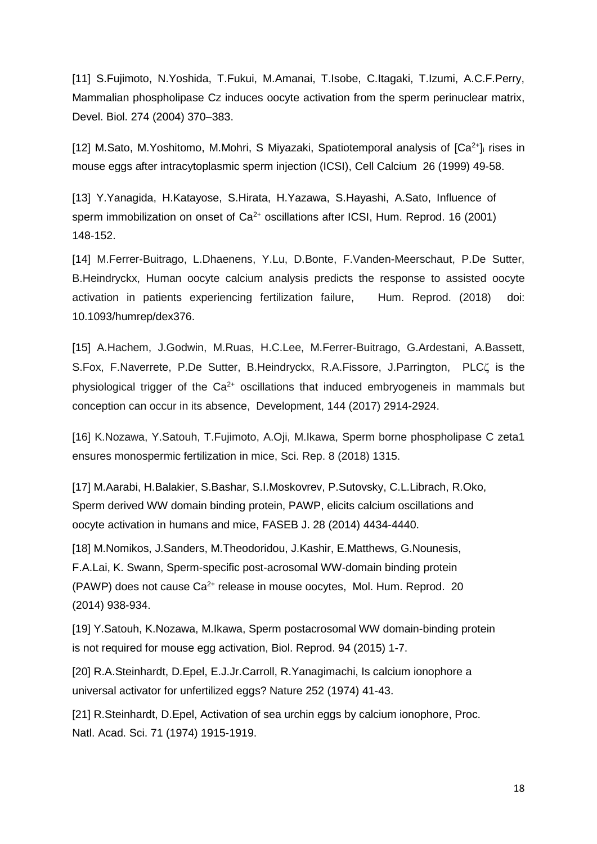[11] S.Fujimoto, N.Yoshida, T.Fukui, M.Amanai, T.Isobe, C.Itagaki, T.Izumi, A.C.F.Perry, Mammalian phospholipase Cz induces oocyte activation from the sperm perinuclear matrix, Devel. Biol. 274 (2004) 370–383.

[12] M.Sato, M.Yoshitomo, M.Mohri, S Miyazaki, Spatiotemporal analysis of  $[Ca<sup>2+</sup>]$  rises in mouse eggs after intracytoplasmic sperm injection (ICSI), Cell Calcium 26 (1999) 49-58.

[13] Y.Yanagida, H.Katayose, S.Hirata, H.Yazawa, S.Hayashi, A.Sato, Influence of sperm immobilization on onset of Ca<sup>2+</sup> oscillations after ICSI, Hum. Reprod. 16 (2001) 148-152.

[14] M.Ferrer-Buitrago, L.Dhaenens, Y.Lu, D.Bonte, F.Vanden-Meerschaut, P.De Sutter, B.Heindryckx, Human oocyte calcium analysis predicts the response to assisted oocyte activation in patients experiencing fertilization failure, Hum. Reprod. (2018) doi: 10.1093/humrep/dex376.

[15] A.Hachem, J.Godwin, M.Ruas, H.C.Lee, M.Ferrer-Buitrago, G.Ardestani, A.Bassett, S.Fox, F.Naverrete, P.De Sutter, B.Heindryckx, R.A.Fissore, J.Parrington, PLCC is the physiological trigger of the  $Ca<sup>2+</sup>$  oscillations that induced embryogeneis in mammals but conception can occur in its absence, Development, 144 (2017) 2914-2924.

[16] K.Nozawa, Y.Satouh, T.Fujimoto, A.Oji, M.Ikawa, Sperm borne phospholipase C zeta1 ensures monospermic fertilization in mice, Sci. Rep. 8 (2018) 1315.

[17] M.Aarabi, H.Balakier, S.Bashar, S.I.Moskovrev, P.Sutovsky, C.L.Librach, R.Oko, Sperm derived WW domain binding protein, PAWP, elicits calcium oscillations and oocyte activation in humans and mice, FASEB J. 28 (2014) 4434-4440.

[18] M.Nomikos, J.Sanders, M.Theodoridou, J.Kashir, E.Matthews, G.Nounesis, F.A.Lai, K. Swann, Sperm-specific post-acrosomal WW-domain binding protein (PAWP) does not cause Ca<sup>2+</sup> release in mouse oocytes, Mol. Hum. Reprod. 20 (2014) 938-934.

[19] Y.Satouh, K.Nozawa, M.Ikawa, Sperm postacrosomal WW domain-binding protein is not required for mouse egg activation, Biol. Reprod. 94 (2015) 1-7.

[20] R.A.Steinhardt, D.Epel, E.J.Jr.Carroll, R.Yanagimachi, Is calcium ionophore a universal activator for unfertilized eggs? Nature 252 (1974) 41-43.

[21] R.Steinhardt, D.Epel, Activation of sea urchin eggs by calcium ionophore, Proc. Natl. Acad. Sci. 71 (1974) 1915-1919.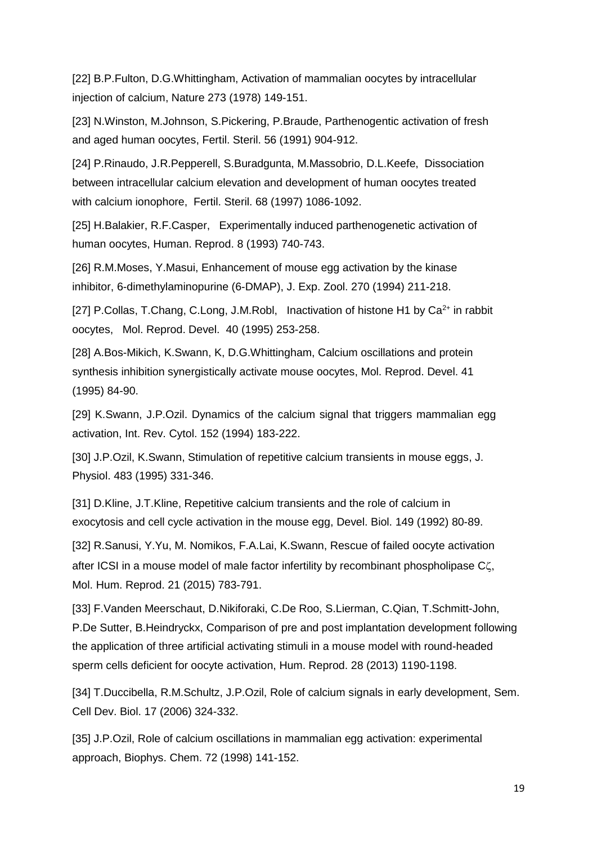[22] B.P.Fulton, D.G.Whittingham, Activation of mammalian oocytes by intracellular injection of calcium, Nature 273 (1978) 149-151.

[23] N.Winston, M.Johnson, S.Pickering, P.Braude, Parthenogentic activation of fresh and aged human oocytes, Fertil. Steril. 56 (1991) 904-912.

[24] P.Rinaudo, J.R.Pepperell, S.Buradgunta, M.Massobrio, D.L.Keefe, Dissociation between intracellular calcium elevation and development of human oocytes treated with calcium ionophore, Fertil. Steril. 68 (1997) 1086-1092.

[25] H.Balakier, R.F.Casper, Experimentally induced parthenogenetic activation of human oocytes, Human. Reprod. 8 (1993) 740-743.

[26] R.M.Moses, Y.Masui, Enhancement of mouse egg activation by the kinase inhibitor, 6-dimethylaminopurine (6-DMAP), J. Exp. Zool. 270 (1994) 211-218.

[27] P.Collas, T.Chang, C.Long, J.M.Robl, Inactivation of histone H1 by  $Ca^{2+}$  in rabbit oocytes, Mol. Reprod. Devel. 40 (1995) 253-258.

[28] A.Bos-Mikich, K.Swann, K, D.G.Whittingham, Calcium oscillations and protein synthesis inhibition synergistically activate mouse oocytes, Mol. Reprod. Devel. 41 (1995) 84-90.

[29] K.Swann, J.P.Ozil. Dynamics of the calcium signal that triggers mammalian egg activation, Int. Rev. Cytol. 152 (1994) 183-222.

[30] J.P.Ozil, K.Swann, Stimulation of repetitive calcium transients in mouse eggs, J. Physiol. 483 (1995) 331-346.

[31] D.Kline, J.T.Kline, Repetitive calcium transients and the role of calcium in exocytosis and cell cycle activation in the mouse egg, Devel. Biol. 149 (1992) 80-89.

[32] R.Sanusi, Y.Yu, M. Nomikos, F.A.Lai, K.Swann, Rescue of failed oocyte activation after ICSI in a mouse model of male factor infertility by recombinant phospholipase C $\zeta$ , Mol. Hum. Reprod. 21 (2015) 783-791.

[33] F.Vanden Meerschaut, D.Nikiforaki, C.De Roo, S.Lierman, C.Qian, T.Schmitt-John, P.De Sutter, B.Heindryckx, Comparison of pre and post implantation development following the application of three artificial activating stimuli in a mouse model with round-headed sperm cells deficient for oocyte activation, Hum. Reprod. 28 (2013) 1190-1198.

[34] T.Duccibella, R.M.Schultz, J.P.Ozil, Role of calcium signals in early development, Sem. Cell Dev. Biol. 17 (2006) 324-332.

[35] J.P.Ozil, Role of calcium oscillations in mammalian egg activation: experimental approach, Biophys. Chem. 72 (1998) 141-152.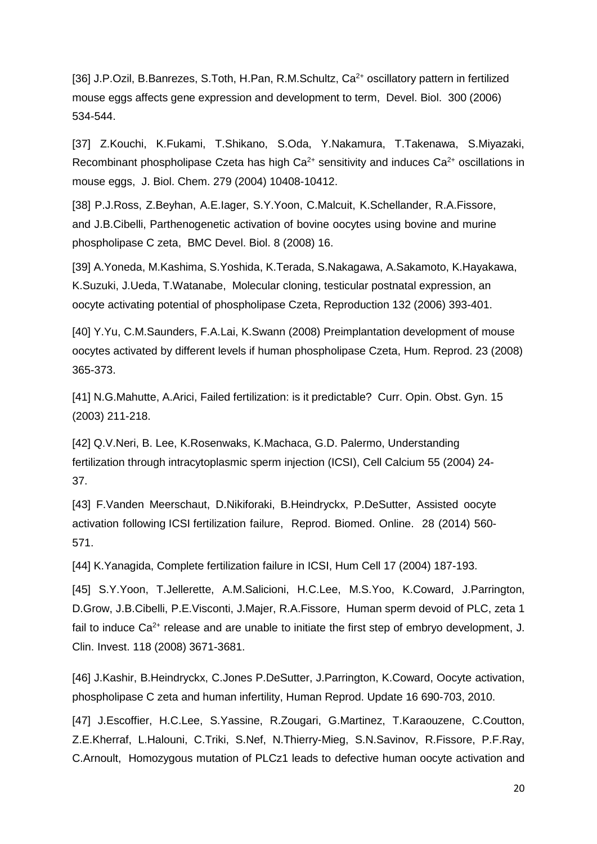[36] J.P.Ozil, B.Banrezes, S.Toth, H.Pan, R.M.Schultz, Ca<sup>2+</sup> oscillatory pattern in fertilized mouse eggs affects gene expression and development to term, Devel. Biol. 300 (2006) 534-544.

[37] Z.Kouchi, K.Fukami, T.Shikano, S.Oda, Y.Nakamura, T.Takenawa, S.Miyazaki, Recombinant phospholipase Czeta has high  $Ca<sup>2+</sup>$  sensitivity and induces  $Ca<sup>2+</sup>$  oscillations in mouse eggs, J. Biol. Chem. 279 (2004) 10408-10412.

[38] P.J.Ross, Z.Beyhan, A.E.Iager, S.Y.Yoon, C.Malcuit, K.Schellander, R.A.Fissore, and J.B.Cibelli, Parthenogenetic activation of bovine oocytes using bovine and murine phospholipase C zeta, BMC Devel. Biol. 8 (2008) 16.

[39] A.Yoneda, M.Kashima, S.Yoshida, K.Terada, S.Nakagawa, A.Sakamoto, K.Hayakawa, K.Suzuki, J.Ueda, T.Watanabe, Molecular cloning, testicular postnatal expression, an oocyte activating potential of phospholipase Czeta, Reproduction 132 (2006) 393-401.

[40] Y.Yu, C.M.Saunders, F.A.Lai, K.Swann (2008) Preimplantation development of mouse oocytes activated by different levels if human phospholipase Czeta, Hum. Reprod. 23 (2008) 365-373.

[41] N.G.Mahutte, A.Arici, Failed fertilization: is it predictable? Curr. Opin. Obst. Gyn. 15 (2003) 211-218.

[42] Q.V.Neri, B. Lee, K.Rosenwaks, K.Machaca, G.D. Palermo, Understanding fertilization through intracytoplasmic sperm injection (ICSI), Cell Calcium 55 (2004) 24- 37.

[43] F.Vanden Meerschaut, D.Nikiforaki, B.Heindryckx, P.DeSutter, Assisted oocyte activation following ICSI fertilization failure, Reprod. Biomed. Online. 28 (2014) 560- 571.

[44] K.Yanagida, Complete fertilization failure in ICSI, Hum Cell 17 (2004) 187-193.

[45] S.Y.Yoon, T.Jellerette, A.M.Salicioni, H.C.Lee, M.S.Yoo, K.Coward, J.Parrington, D.Grow, J.B.Cibelli, P.E.Visconti, J.Majer, R.A.Fissore, Human sperm devoid of PLC, zeta 1 fail to induce  $Ca<sup>2+</sup>$  release and are unable to initiate the first step of embryo development, J. Clin. Invest. 118 (2008) 3671-3681.

[46] J.Kashir, B.Heindryckx, C.Jones P.DeSutter, J.Parrington, K.Coward, Oocyte activation, phospholipase C zeta and human infertility, Human Reprod. Update 16 690-703, 2010.

[47] J.Escoffier, H.C.Lee, S.Yassine, R.Zougari, G.Martinez, T.Karaouzene, C.Coutton, Z.E.Kherraf, L.Halouni, C.Triki, S.Nef, N.Thierry-Mieg, S.N.Savinov, R.Fissore, P.F.Ray, C.Arnoult, Homozygous mutation of PLCz1 leads to defective human oocyte activation and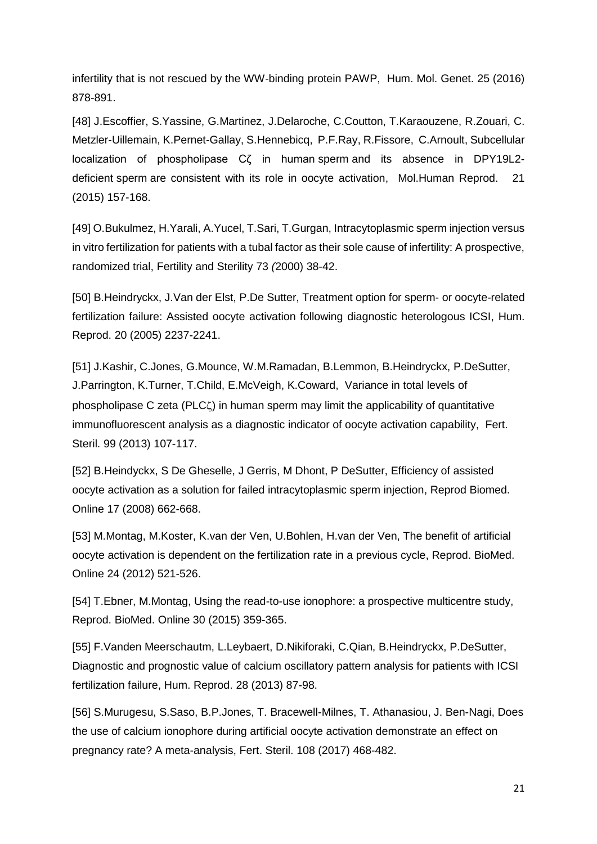infertility that is not rescued by the WW-binding protein PAWP, Hum. Mol. Genet. 25 (2016) 878-891.

[48] J.Escoffier, S.Yassine, G.Martinez, J.Delaroche, C.Coutton, T.Karaouzene, R.Zouari, C. Metzler-Uillemain, K.Pernet-Gallay, S.Hennebicq, P.F.Ray, R.Fissore, C.Arnoult, Subcellular localization of phospholipase Cζ in human sperm and its absence in DPY19L2 deficient sperm are consistent with its role in oocyte activation, Mol.Human Reprod. 21 (2015) 157-168.

[49] O.Bukulmez, H.Yarali, A.Yucel, T.Sari, T.Gurgan, Intracytoplasmic sperm injection versus in vitro fertilization for patients with a tubal factor as their sole cause of infertility: A prospective, randomized trial, Fertility and Sterility 73 (2000) 38-42.

[50] B.Heindryckx, J.Van der Elst, P.De Sutter, Treatment option for sperm- or oocyte-related fertilization failure: Assisted oocyte activation following diagnostic heterologous ICSI, Hum. Reprod. 20 (2005) 2237-2241.

[51] J.Kashir, C.Jones, G.Mounce, W.M.Ramadan, B.Lemmon, B.Heindryckx, P.DeSutter, J.Parrington, K.Turner, T.Child, E.McVeigh, K.Coward, Variance in total levels of phospholipase C zeta (PLC) in human sperm may limit the applicability of quantitative immunofluorescent analysis as a diagnostic indicator of oocyte activation capability, Fert. Steril. 99 (2013) 107-117.

[52] B.Heindyckx, S De Gheselle, J Gerris, M Dhont, P DeSutter, Efficiency of assisted oocyte activation as a solution for failed intracytoplasmic sperm injection, Reprod Biomed. Online 17 (2008) 662-668.

[53] M.Montag, M.Koster, K.van der Ven, U.Bohlen, H.van der Ven, The benefit of artificial oocyte activation is dependent on the fertilization rate in a previous cycle, Reprod. BioMed. Online 24 (2012) 521-526.

[54] T.Ebner, M.Montag, Using the read-to-use ionophore: a prospective multicentre study, Reprod. BioMed. Online 30 (2015) 359-365.

[55] F.Vanden Meerschautm, L.Leybaert, D.Nikiforaki, C.Qian, B.Heindryckx, P.DeSutter, Diagnostic and prognostic value of calcium oscillatory pattern analysis for patients with ICSI fertilization failure, Hum. Reprod. 28 (2013) 87-98.

[56] S.Murugesu, S.Saso, B.P.Jones, T. Bracewell-Milnes, T. Athanasiou, J. Ben-Nagi, Does the use of calcium ionophore during artificial oocyte activation demonstrate an effect on pregnancy rate? A meta-analysis, Fert. Steril. 108 (2017) 468-482.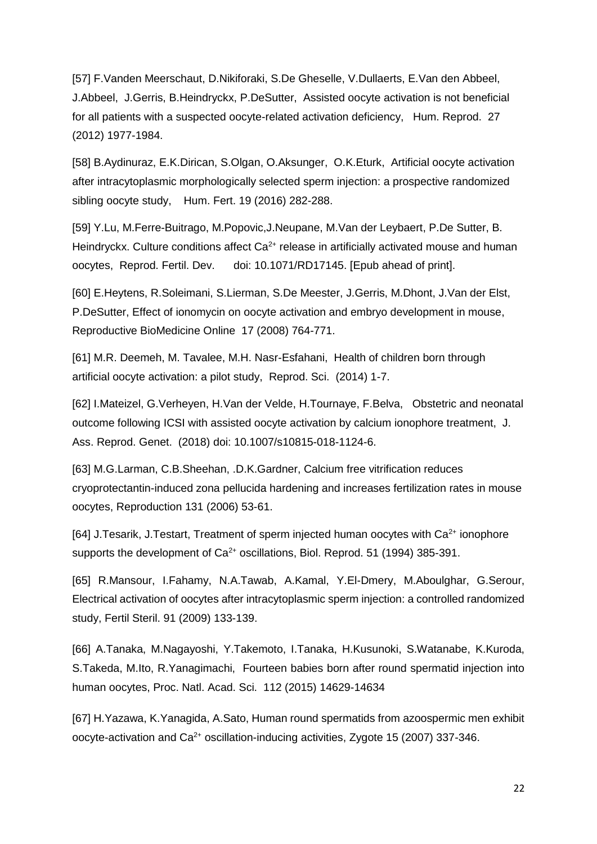[57] F.Vanden Meerschaut, D.Nikiforaki, S.De Gheselle, V.Dullaerts, E.Van den Abbeel, J.Abbeel, J.Gerris, B.Heindryckx, P.DeSutter, Assisted oocyte activation is not beneficial for all patients with a suspected oocyte-related activation deficiency, Hum. Reprod. 27 (2012) 1977-1984.

[58] B.Aydinuraz, E.K.Dirican, S.Olgan, O.Aksunger, O.K.Eturk, Artificial oocyte activation after intracytoplasmic morphologically selected sperm injection: a prospective randomized sibling oocyte study, Hum. Fert. 19 (2016) 282-288.

[59] Y.Lu, M.Ferre-Buitrago, M.Popovic,J.Neupane, M.Van der Leybaert, P.De Sutter, B. Heindryckx. Culture conditions affect  $Ca<sup>2+</sup>$  release in artificially activated mouse and human oocytes, Reprod. Fertil. Dev. doi: 10.1071/RD17145. [Epub ahead of print].

[60] E.Heytens, R.Soleimani, S.Lierman, S.De Meester, J.Gerris, M.Dhont, J.Van der Elst, P.DeSutter, Effect of ionomycin on oocyte activation and embryo development in mouse, Reproductive BioMedicine Online 17 (2008) 764-771.

[61] M.R. Deemeh, M. Tavalee, M.H. Nasr-Esfahani, Health of children born through artificial oocyte activation: a pilot study, Reprod. Sci. (2014) 1-7.

[62] I.Mateizel, G.Verheyen, H.Van der Velde, H.Tournaye, F.Belva, Obstetric and neonatal outcome following ICSI with assisted oocyte activation by calcium ionophore treatment, J. Ass. Reprod. Genet. (2018) doi: 10.1007/s10815-018-1124-6.

[63] M.G.Larman, C.B.Sheehan, .D.K.Gardner, Calcium free vitrification reduces cryoprotectantin-induced zona pellucida hardening and increases fertilization rates in mouse oocytes, Reproduction 131 (2006) 53-61.

[64] J.Tesarik, J.Testart, Treatment of sperm injected human oocytes with  $Ca<sup>2+</sup>$  ionophore supports the development of  $Ca^{2+}$  oscillations, Biol. Reprod. 51 (1994) 385-391.

[65] R.Mansour, I.Fahamy, N.A.Tawab, A.Kamal, Y.El-Dmery, M.Aboulghar, G.Serour, Electrical activation of oocytes after intracytoplasmic sperm injection: a controlled randomized study, Fertil Steril. 91 (2009) 133-139.

[66] A.Tanaka, M.Nagayoshi, Y.Takemoto, I.Tanaka, H.Kusunoki, S.Watanabe, K.Kuroda, S.Takeda, M.Ito, R.Yanagimachi, Fourteen babies born after round spermatid injection into human oocytes, Proc. Natl. Acad. Sci. 112 (2015) 14629-14634

[67] H.Yazawa, K.Yanagida, A.Sato, Human round spermatids from azoospermic men exhibit oocyte-activation and  $Ca^{2+}$  oscillation-inducing activities, Zygote 15 (2007) 337-346.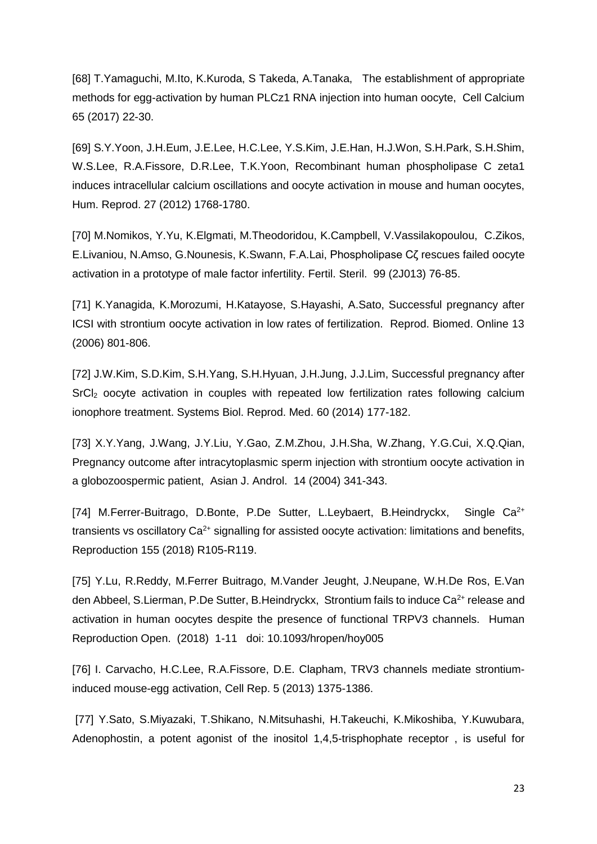[68] T.Yamaguchi, M.Ito, K.Kuroda, S Takeda, A.Tanaka, The establishment of appropriate methods for egg-activation by human PLCz1 RNA injection into human oocyte, Cell Calcium 65 (2017) 22-30.

[69] S.Y.Yoon, J.H.Eum, J.E.Lee, H.C.Lee, Y.S.Kim, J.E.Han, H.J.Won, S.H.Park, S.H.Shim, W.S.Lee, R.A.Fissore, D.R.Lee, T.K.Yoon, Recombinant human phospholipase C zeta1 induces intracellular calcium oscillations and oocyte activation in mouse and human oocytes, Hum. Reprod. 27 (2012) 1768-1780.

[70] M[.Nomikos,](http://www.ncbi.nlm.nih.gov/pubmed?term=Nomikos%20M%5BAuthor%5D&cauthor=true&cauthor_uid=22999959) Y[.Yu,](http://www.ncbi.nlm.nih.gov/pubmed?term=Yu%20Y%5BAuthor%5D&cauthor=true&cauthor_uid=22999959) K[.Elgmati,](http://www.ncbi.nlm.nih.gov/pubmed?term=Elgmati%20K%5BAuthor%5D&cauthor=true&cauthor_uid=22999959) M[.Theodoridou,](http://www.ncbi.nlm.nih.gov/pubmed?term=Theodoridou%20M%5BAuthor%5D&cauthor=true&cauthor_uid=22999959) K[.Campbell,](http://www.ncbi.nlm.nih.gov/pubmed?term=Campbell%20K%5BAuthor%5D&cauthor=true&cauthor_uid=22999959) V[.Vassilakopoulou,](http://www.ncbi.nlm.nih.gov/pubmed?term=Vassilakopoulou%20V%5BAuthor%5D&cauthor=true&cauthor_uid=22999959) C[.Zikos,](http://www.ncbi.nlm.nih.gov/pubmed?term=Zikos%20C%5BAuthor%5D&cauthor=true&cauthor_uid=22999959) E[.Livaniou,](http://www.ncbi.nlm.nih.gov/pubmed?term=Livaniou%20E%5BAuthor%5D&cauthor=true&cauthor_uid=22999959) N[.Amso,](http://www.ncbi.nlm.nih.gov/pubmed?term=Amso%20N%5BAuthor%5D&cauthor=true&cauthor_uid=22999959) G[.Nounesis,](http://www.ncbi.nlm.nih.gov/pubmed?term=Nounesis%20G%5BAuthor%5D&cauthor=true&cauthor_uid=22999959) K[.Swann,](http://www.ncbi.nlm.nih.gov/pubmed?term=Swann%20K%5BAuthor%5D&cauthor=true&cauthor_uid=22999959) F.A[.Lai,](http://www.ncbi.nlm.nih.gov/pubmed?term=Lai%20FA%5BAuthor%5D&cauthor=true&cauthor_uid=22999959) Phospholipase Cζ rescues failed oocyte activation in a prototype of male factor infertility. [Fertil. Steril.](http://www.ncbi.nlm.nih.gov/pubmed/22999959) 99 (2J013) 76-85.

[71] K.Yanagida, K.Morozumi, H.Katayose, S.Hayashi, A.Sato, Successful pregnancy after ICSI with strontium oocyte activation in low rates of fertilization. Reprod. Biomed. Online 13 (2006) 801-806.

[72] J.W.Kim, S.D.Kim, S.H.Yang, S.H.Hyuan, J.H.Jung, J.J.Lim, Successful pregnancy after SrCI<sub>2</sub> oocyte activation in couples with repeated low fertilization rates following calcium ionophore treatment. Systems Biol. Reprod. Med. 60 (2014) 177-182.

[73] X.Y.Yang, J.Wang, J.Y.Liu, Y.Gao, Z.M.Zhou, J.H.Sha, W.Zhang, Y.G.Cui, X.Q.Qian, Pregnancy outcome after intracytoplasmic sperm injection with strontium oocyte activation in a globozoospermic patient, Asian J. Androl. 14 (2004) 341-343.

[74] M.Ferrer-Buitrago, D.Bonte, P.De Sutter, L.Leybaert, B.Heindryckx, Single Ca<sup>2+</sup> transients vs oscillatory  $Ca<sup>2+</sup>$  signalling for assisted oocyte activation: limitations and benefits, Reproduction 155 (2018) R105-R119.

[75] Y.Lu, R.Reddy, M.Ferrer Buitrago, M.Vander Jeught, J.Neupane, W.H.De Ros, E.Van den Abbeel, S.Lierman, P.De Sutter, B.Heindryckx, Strontium fails to induce Ca<sup>2+</sup> release and activation in human oocytes despite the presence of functional TRPV3 channels. Human Reproduction Open. (2018) 1-11 doi: 10.1093/hropen/hoy005

[76] I. Carvacho, H.C.Lee, R.A.Fissore, D.E. Clapham, TRV3 channels mediate strontiuminduced mouse-egg activation, Cell Rep. 5 (2013) 1375-1386.

[77] Y.Sato, S.Miyazaki, T.Shikano, N.Mitsuhashi, H.Takeuchi, K.Mikoshiba, Y.Kuwubara, Adenophostin, a potent agonist of the inositol 1,4,5-trisphophate receptor , is useful for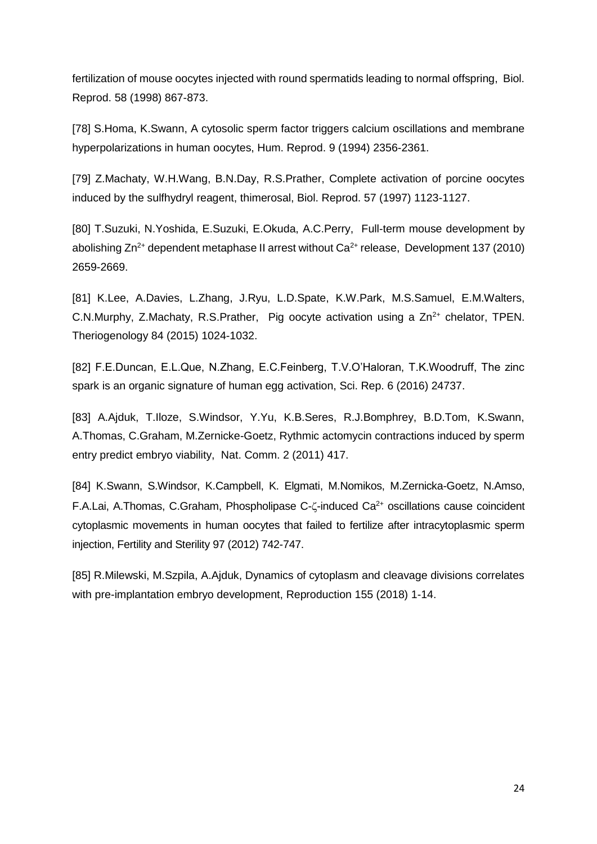fertilization of mouse oocytes injected with round spermatids leading to normal offspring, Biol. Reprod. 58 (1998) 867-873.

[78] S.Homa, K.Swann, A cytosolic sperm factor triggers calcium oscillations and membrane hyperpolarizations in human oocytes, Hum. Reprod. 9 (1994) 2356-2361.

[79] Z.Machaty, W.H.Wang, B.N.Day, R.S.Prather, Complete activation of porcine oocytes induced by the sulfhydryl reagent, thimerosal, Biol. Reprod. 57 (1997) 1123-1127.

[80] T.Suzuki, N.Yoshida, E.Suzuki, E.Okuda, A.C.Perry, Full-term mouse development by abolishing  $Zn^{2+}$  dependent metaphase II arrest without  $Ca^{2+}$  release, Development 137 (2010) 2659-2669.

[81] K.Lee, A.Davies, L.Zhang, J.Ryu, L.D.Spate, K.W.Park, M.S.Samuel, E.M.Walters, C.N.Murphy, Z.Machaty, R.S.Prather, Pig oocyte activation using a  $Zn^{2+}$  chelator, TPEN. Theriogenology 84 (2015) 1024-1032.

[82] F.E.Duncan, E.L.Que, N.Zhang, E.C.Feinberg, T.V.O'Haloran, T.K.Woodruff, The zinc spark is an organic signature of human egg activation, Sci. Rep. 6 (2016) 24737.

[83] A.Ajduk, T.Iloze, S.Windsor, Y.Yu, K.B.Seres, R.J.Bomphrey, B.D.Tom, K.Swann, A.Thomas, C.Graham, M.Zernicke-Goetz, Rythmic actomycin contractions induced by sperm entry predict embryo viability, Nat. Comm. 2 (2011) 417.

[84] K[.Swann,](http://www.ncbi.nlm.nih.gov/pubmed?term=Swann%20K%5BAuthor%5D&cauthor=true&cauthor_uid=22217962) S[.Windsor,](http://www.ncbi.nlm.nih.gov/pubmed?term=Windsor%20S%5BAuthor%5D&cauthor=true&cauthor_uid=22217962) K[.Campbell,](http://www.ncbi.nlm.nih.gov/pubmed?term=Campbell%20K%5BAuthor%5D&cauthor=true&cauthor_uid=22217962) K. [Elgmati,](http://www.ncbi.nlm.nih.gov/pubmed?term=Elgmati%20K%5BAuthor%5D&cauthor=true&cauthor_uid=22217962) M[.Nomikos,](http://www.ncbi.nlm.nih.gov/pubmed?term=Nomikos%20M%5BAuthor%5D&cauthor=true&cauthor_uid=22217962) M[.Zernicka-Goetz,](http://www.ncbi.nlm.nih.gov/pubmed?term=Zernicka-Goetz%20M%5BAuthor%5D&cauthor=true&cauthor_uid=22217962) N[.Amso,](http://www.ncbi.nlm.nih.gov/pubmed?term=Amso%20N%5BAuthor%5D&cauthor=true&cauthor_uid=22217962) F.A[.Lai, A](http://www.ncbi.nlm.nih.gov/pubmed?term=Lai%20FA%5BAuthor%5D&cauthor=true&cauthor_uid=22217962)[.Thomas,](http://www.ncbi.nlm.nih.gov/pubmed?term=Thomas%20A%5BAuthor%5D&cauthor=true&cauthor_uid=22217962) C[.Graham, P](http://www.ncbi.nlm.nih.gov/pubmed?term=Graham%20C%5BAuthor%5D&cauthor=true&cauthor_uid=22217962)hospholipase C- $\zeta$ -induced Ca<sup>2+</sup> oscillations cause coincident cytoplasmic movements in human oocytes that failed to fertilize after intracytoplasmic sperm injection, [Fertility and Sterility](http://www.ncbi.nlm.nih.gov/pubmed/22217962) 97 (2012) 742-747.

[85] R.Milewski, M.Szpila, A.Ajduk, Dynamics of cytoplasm and cleavage divisions correlates with pre-implantation embryo development, Reproduction 155 (2018) 1-14.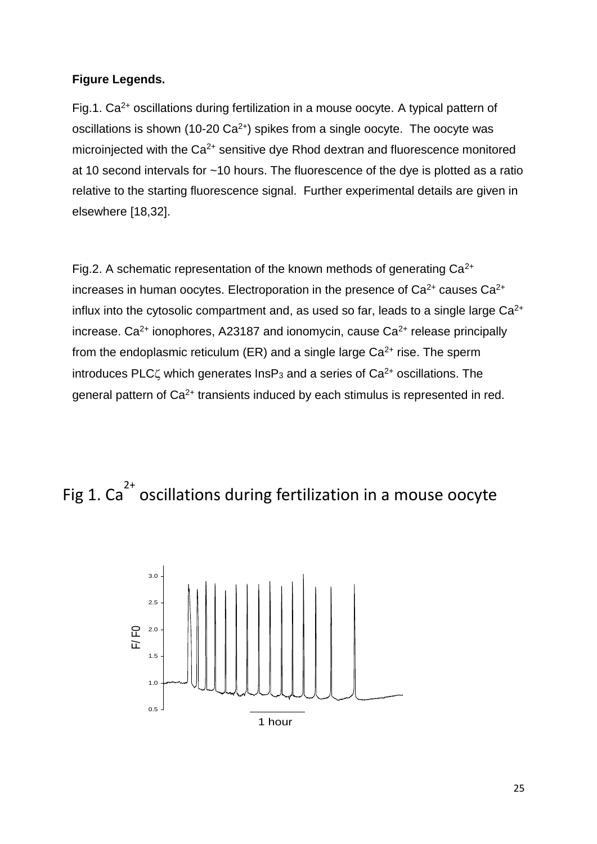#### **Figure Legends.**

Fig.1. Ca<sup>2+</sup> oscillations during fertilization in a mouse oocyte. A typical pattern of oscillations is shown (10-20  $Ca^{2+}$ ) spikes from a single oocyte. The oocyte was microinjected with the  $Ca^{2+}$  sensitive dye Rhod dextran and fluorescence monitored at 10 second intervals for ~10 hours. The fluorescence of the dye is plotted as a ratio relative to the starting fluorescence signal. Further experimental details are given in elsewhere [18,32].

Fig.2. A schematic representation of the known methods of generating  $Ca^{2+}$ increases in human oocytes. Electroporation in the presence of  $Ca^{2+}$  causes  $Ca^{2+}$ influx into the cytosolic compartment and, as used so far, leads to a single large  $Ca<sup>2+</sup>$ increase.  $Ca^{2+}$  ionophores, A23187 and ionomycin, cause  $Ca^{2+}$  release principally from the endoplasmic reticulum (ER) and a single large  $Ca<sup>2+</sup>$  rise. The sperm introduces PLC $\zeta$  which generates InsP<sub>3</sub> and a series of Ca<sup>2+</sup> oscillations. The general pattern of Ca<sup>2+</sup> transients induced by each stimulus is represented in red.

## Fig 1. Ca<sup>2+</sup> oscillations during fertilization in a mouse oocyte